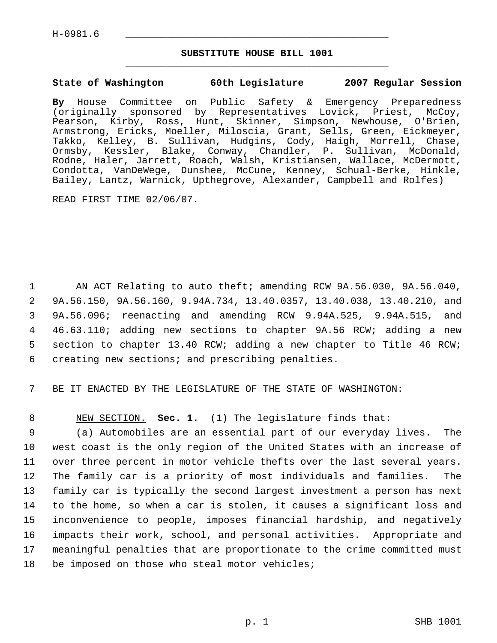## **SUBSTITUTE HOUSE BILL 1001** \_\_\_\_\_\_\_\_\_\_\_\_\_\_\_\_\_\_\_\_\_\_\_\_\_\_\_\_\_\_\_\_\_\_\_\_\_\_\_\_\_\_\_\_\_

#### **State of Washington 60th Legislature 2007 Regular Session**

**By** House Committee on Public Safety & Emergency Preparedness (originally sponsored by Representatives Lovick, Priest, McCoy, Pearson, Kirby, Ross, Hunt, Skinner, Simpson, Newhouse, O'Brien, Armstrong, Ericks, Moeller, Miloscia, Grant, Sells, Green, Eickmeyer, Takko, Kelley, B. Sullivan, Hudgins, Cody, Haigh, Morrell, Chase, Ormsby, Kessler, Blake, Conway, Chandler, P. Sullivan, McDonald, Rodne, Haler, Jarrett, Roach, Walsh, Kristiansen, Wallace, McDermott, Condotta, VanDeWege, Dunshee, McCune, Kenney, Schual-Berke, Hinkle, Bailey, Lantz, Warnick, Upthegrove, Alexander, Campbell and Rolfes)

READ FIRST TIME 02/06/07.

 AN ACT Relating to auto theft; amending RCW 9A.56.030, 9A.56.040, 9A.56.150, 9A.56.160, 9.94A.734, 13.40.0357, 13.40.038, 13.40.210, and 9A.56.096; reenacting and amending RCW 9.94A.525, 9.94A.515, and 46.63.110; adding new sections to chapter 9A.56 RCW; adding a new section to chapter 13.40 RCW; adding a new chapter to Title 46 RCW; creating new sections; and prescribing penalties.

7 BE IT ENACTED BY THE LEGISLATURE OF THE STATE OF WASHINGTON:

8 NEW SECTION. **Sec. 1.** (1) The legislature finds that:

 (a) Automobiles are an essential part of our everyday lives. The west coast is the only region of the United States with an increase of over three percent in motor vehicle thefts over the last several years. The family car is a priority of most individuals and families. The family car is typically the second largest investment a person has next to the home, so when a car is stolen, it causes a significant loss and inconvenience to people, imposes financial hardship, and negatively impacts their work, school, and personal activities. Appropriate and meaningful penalties that are proportionate to the crime committed must 18 be imposed on those who steal motor vehicles;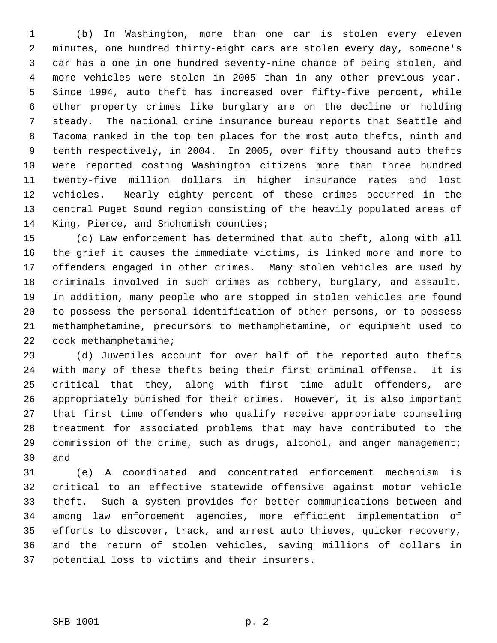(b) In Washington, more than one car is stolen every eleven minutes, one hundred thirty-eight cars are stolen every day, someone's car has a one in one hundred seventy-nine chance of being stolen, and more vehicles were stolen in 2005 than in any other previous year. Since 1994, auto theft has increased over fifty-five percent, while other property crimes like burglary are on the decline or holding steady. The national crime insurance bureau reports that Seattle and Tacoma ranked in the top ten places for the most auto thefts, ninth and tenth respectively, in 2004. In 2005, over fifty thousand auto thefts were reported costing Washington citizens more than three hundred twenty-five million dollars in higher insurance rates and lost vehicles. Nearly eighty percent of these crimes occurred in the central Puget Sound region consisting of the heavily populated areas of King, Pierce, and Snohomish counties;

 (c) Law enforcement has determined that auto theft, along with all the grief it causes the immediate victims, is linked more and more to offenders engaged in other crimes. Many stolen vehicles are used by criminals involved in such crimes as robbery, burglary, and assault. In addition, many people who are stopped in stolen vehicles are found to possess the personal identification of other persons, or to possess methamphetamine, precursors to methamphetamine, or equipment used to cook methamphetamine;

 (d) Juveniles account for over half of the reported auto thefts with many of these thefts being their first criminal offense. It is critical that they, along with first time adult offenders, are appropriately punished for their crimes. However, it is also important that first time offenders who qualify receive appropriate counseling treatment for associated problems that may have contributed to the 29 commission of the crime, such as drugs, alcohol, and anger management; and

 (e) A coordinated and concentrated enforcement mechanism is critical to an effective statewide offensive against motor vehicle theft. Such a system provides for better communications between and among law enforcement agencies, more efficient implementation of efforts to discover, track, and arrest auto thieves, quicker recovery, and the return of stolen vehicles, saving millions of dollars in potential loss to victims and their insurers.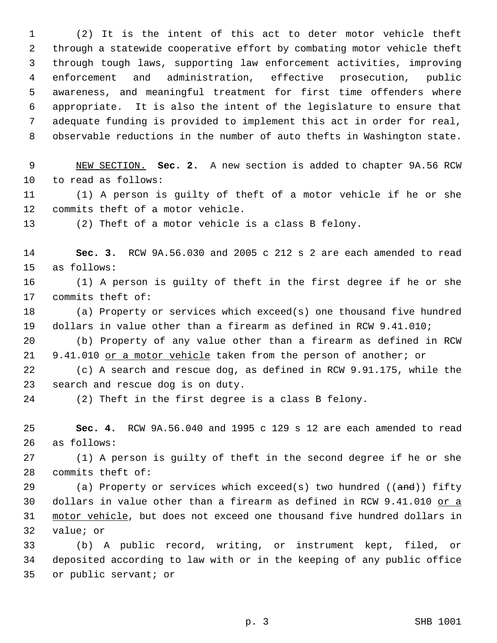(2) It is the intent of this act to deter motor vehicle theft through a statewide cooperative effort by combating motor vehicle theft through tough laws, supporting law enforcement activities, improving enforcement and administration, effective prosecution, public awareness, and meaningful treatment for first time offenders where appropriate. It is also the intent of the legislature to ensure that adequate funding is provided to implement this act in order for real, observable reductions in the number of auto thefts in Washington state.

 NEW SECTION. **Sec. 2.** A new section is added to chapter 9A.56 RCW to read as follows:

 (1) A person is guilty of theft of a motor vehicle if he or she commits theft of a motor vehicle.

(2) Theft of a motor vehicle is a class B felony.

 **Sec. 3.** RCW 9A.56.030 and 2005 c 212 s 2 are each amended to read as follows:

 (1) A person is guilty of theft in the first degree if he or she commits theft of:

 (a) Property or services which exceed(s) one thousand five hundred dollars in value other than a firearm as defined in RCW 9.41.010;

 (b) Property of any value other than a firearm as defined in RCW 21 9.41.010 or a motor vehicle taken from the person of another; or

 (c) A search and rescue dog, as defined in RCW 9.91.175, while the search and rescue dog is on duty.

(2) Theft in the first degree is a class B felony.

 **Sec. 4.** RCW 9A.56.040 and 1995 c 129 s 12 are each amended to read as follows:

 (1) A person is guilty of theft in the second degree if he or she commits theft of:

29 (a) Property or services which exceed(s) two hundred  $((and))$  fifty 30 dollars in value other than a firearm as defined in RCW 9.41.010 or a motor vehicle, but does not exceed one thousand five hundred dollars in value; or

 (b) A public record, writing, or instrument kept, filed, or deposited according to law with or in the keeping of any public office or public servant; or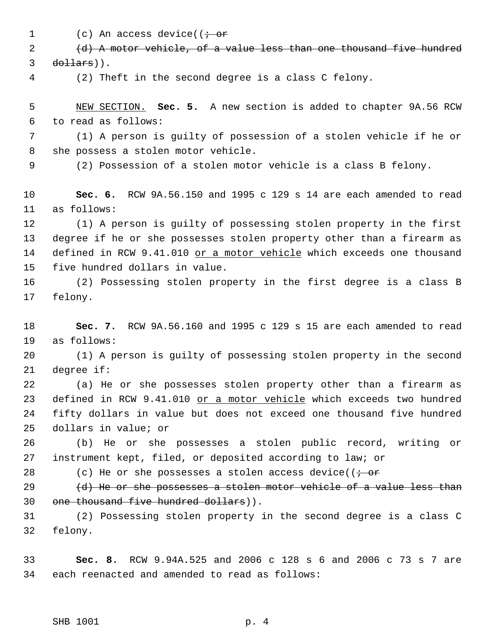1 (c) An access device(( $\dot{\tau}$  or

2 (d) A motor vehicle, of a value less than one thousand five hundred dollars)).

(2) Theft in the second degree is a class C felony.

 NEW SECTION. **Sec. 5.** A new section is added to chapter 9A.56 RCW to read as follows:

 (1) A person is guilty of possession of a stolen vehicle if he or she possess a stolen motor vehicle.

(2) Possession of a stolen motor vehicle is a class B felony.

 **Sec. 6.** RCW 9A.56.150 and 1995 c 129 s 14 are each amended to read as follows:

 (1) A person is guilty of possessing stolen property in the first degree if he or she possesses stolen property other than a firearm as 14 defined in RCW 9.41.010 or a motor vehicle which exceeds one thousand five hundred dollars in value.

 (2) Possessing stolen property in the first degree is a class B felony.

 **Sec. 7.** RCW 9A.56.160 and 1995 c 129 s 15 are each amended to read as follows:

 (1) A person is guilty of possessing stolen property in the second degree if:

 (a) He or she possesses stolen property other than a firearm as 23 defined in RCW 9.41.010 or a motor vehicle which exceeds two hundred fifty dollars in value but does not exceed one thousand five hundred dollars in value; or

 (b) He or she possesses a stolen public record, writing or instrument kept, filed, or deposited according to law; or

28 (c) He or she possesses a stolen access device( $\overline{(-\text{or}]}$ 

29  $(d)$  He or she possesses a stolen motor vehicle of a value less than one thousand five hundred dollars)).

 (2) Possessing stolen property in the second degree is a class C felony.

 **Sec. 8.** RCW 9.94A.525 and 2006 c 128 s 6 and 2006 c 73 s 7 are each reenacted and amended to read as follows: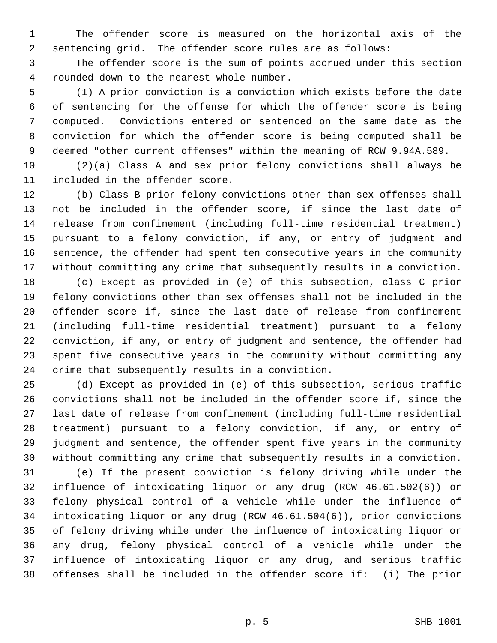The offender score is measured on the horizontal axis of the sentencing grid. The offender score rules are as follows:

 The offender score is the sum of points accrued under this section rounded down to the nearest whole number.

 (1) A prior conviction is a conviction which exists before the date of sentencing for the offense for which the offender score is being computed. Convictions entered or sentenced on the same date as the conviction for which the offender score is being computed shall be deemed "other current offenses" within the meaning of RCW 9.94A.589.

 (2)(a) Class A and sex prior felony convictions shall always be included in the offender score.

 (b) Class B prior felony convictions other than sex offenses shall not be included in the offender score, if since the last date of release from confinement (including full-time residential treatment) pursuant to a felony conviction, if any, or entry of judgment and sentence, the offender had spent ten consecutive years in the community without committing any crime that subsequently results in a conviction.

 (c) Except as provided in (e) of this subsection, class C prior felony convictions other than sex offenses shall not be included in the offender score if, since the last date of release from confinement (including full-time residential treatment) pursuant to a felony conviction, if any, or entry of judgment and sentence, the offender had spent five consecutive years in the community without committing any crime that subsequently results in a conviction.

 (d) Except as provided in (e) of this subsection, serious traffic convictions shall not be included in the offender score if, since the last date of release from confinement (including full-time residential treatment) pursuant to a felony conviction, if any, or entry of judgment and sentence, the offender spent five years in the community without committing any crime that subsequently results in a conviction.

 (e) If the present conviction is felony driving while under the influence of intoxicating liquor or any drug (RCW 46.61.502(6)) or felony physical control of a vehicle while under the influence of intoxicating liquor or any drug (RCW 46.61.504(6)), prior convictions of felony driving while under the influence of intoxicating liquor or any drug, felony physical control of a vehicle while under the influence of intoxicating liquor or any drug, and serious traffic offenses shall be included in the offender score if: (i) The prior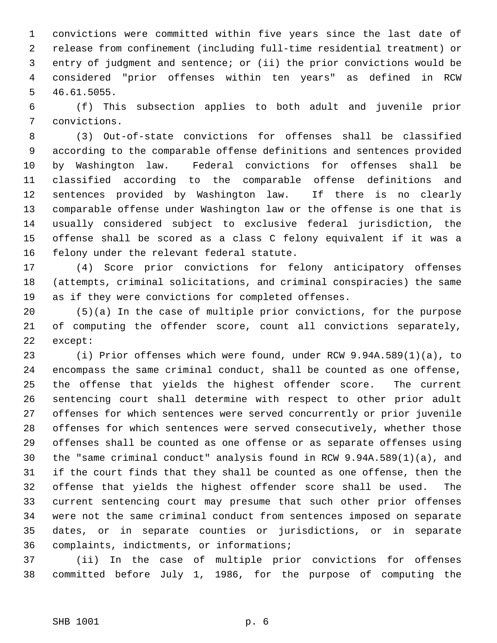convictions were committed within five years since the last date of release from confinement (including full-time residential treatment) or entry of judgment and sentence; or (ii) the prior convictions would be considered "prior offenses within ten years" as defined in RCW 46.61.5055.

 (f) This subsection applies to both adult and juvenile prior convictions.

 (3) Out-of-state convictions for offenses shall be classified according to the comparable offense definitions and sentences provided by Washington law. Federal convictions for offenses shall be classified according to the comparable offense definitions and sentences provided by Washington law. If there is no clearly comparable offense under Washington law or the offense is one that is usually considered subject to exclusive federal jurisdiction, the offense shall be scored as a class C felony equivalent if it was a felony under the relevant federal statute.

 (4) Score prior convictions for felony anticipatory offenses (attempts, criminal solicitations, and criminal conspiracies) the same as if they were convictions for completed offenses.

 (5)(a) In the case of multiple prior convictions, for the purpose of computing the offender score, count all convictions separately, except:

 (i) Prior offenses which were found, under RCW 9.94A.589(1)(a), to encompass the same criminal conduct, shall be counted as one offense, the offense that yields the highest offender score. The current sentencing court shall determine with respect to other prior adult offenses for which sentences were served concurrently or prior juvenile offenses for which sentences were served consecutively, whether those offenses shall be counted as one offense or as separate offenses using the "same criminal conduct" analysis found in RCW 9.94A.589(1)(a), and if the court finds that they shall be counted as one offense, then the offense that yields the highest offender score shall be used. The current sentencing court may presume that such other prior offenses were not the same criminal conduct from sentences imposed on separate dates, or in separate counties or jurisdictions, or in separate complaints, indictments, or informations;

 (ii) In the case of multiple prior convictions for offenses committed before July 1, 1986, for the purpose of computing the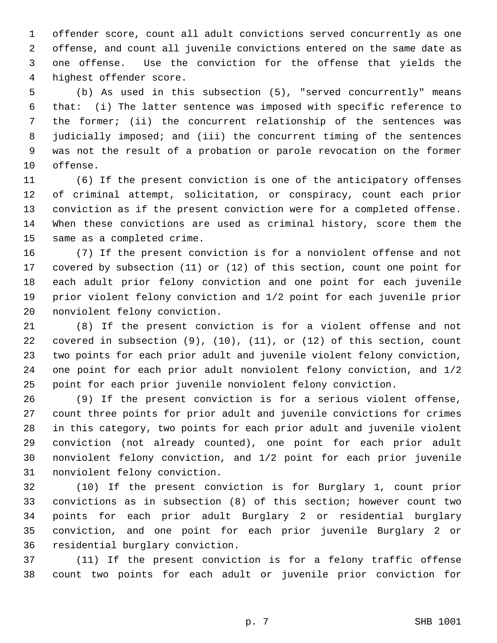offender score, count all adult convictions served concurrently as one offense, and count all juvenile convictions entered on the same date as one offense. Use the conviction for the offense that yields the highest offender score.

 (b) As used in this subsection (5), "served concurrently" means that: (i) The latter sentence was imposed with specific reference to the former; (ii) the concurrent relationship of the sentences was judicially imposed; and (iii) the concurrent timing of the sentences was not the result of a probation or parole revocation on the former offense.

 (6) If the present conviction is one of the anticipatory offenses of criminal attempt, solicitation, or conspiracy, count each prior conviction as if the present conviction were for a completed offense. When these convictions are used as criminal history, score them the same as a completed crime.

 (7) If the present conviction is for a nonviolent offense and not covered by subsection (11) or (12) of this section, count one point for each adult prior felony conviction and one point for each juvenile prior violent felony conviction and 1/2 point for each juvenile prior nonviolent felony conviction.

 (8) If the present conviction is for a violent offense and not covered in subsection (9), (10), (11), or (12) of this section, count two points for each prior adult and juvenile violent felony conviction, one point for each prior adult nonviolent felony conviction, and 1/2 point for each prior juvenile nonviolent felony conviction.

 (9) If the present conviction is for a serious violent offense, count three points for prior adult and juvenile convictions for crimes in this category, two points for each prior adult and juvenile violent conviction (not already counted), one point for each prior adult nonviolent felony conviction, and 1/2 point for each prior juvenile nonviolent felony conviction.

 (10) If the present conviction is for Burglary 1, count prior convictions as in subsection (8) of this section; however count two points for each prior adult Burglary 2 or residential burglary conviction, and one point for each prior juvenile Burglary 2 or residential burglary conviction.

 (11) If the present conviction is for a felony traffic offense count two points for each adult or juvenile prior conviction for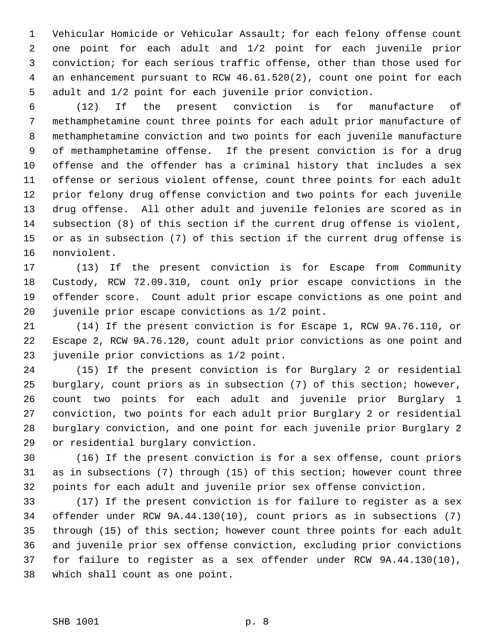Vehicular Homicide or Vehicular Assault; for each felony offense count one point for each adult and 1/2 point for each juvenile prior conviction; for each serious traffic offense, other than those used for an enhancement pursuant to RCW 46.61.520(2), count one point for each adult and 1/2 point for each juvenile prior conviction.

 (12) If the present conviction is for manufacture of methamphetamine count three points for each adult prior manufacture of methamphetamine conviction and two points for each juvenile manufacture of methamphetamine offense. If the present conviction is for a drug offense and the offender has a criminal history that includes a sex offense or serious violent offense, count three points for each adult prior felony drug offense conviction and two points for each juvenile drug offense. All other adult and juvenile felonies are scored as in subsection (8) of this section if the current drug offense is violent, or as in subsection (7) of this section if the current drug offense is nonviolent.

 (13) If the present conviction is for Escape from Community Custody, RCW 72.09.310, count only prior escape convictions in the offender score. Count adult prior escape convictions as one point and juvenile prior escape convictions as 1/2 point.

 (14) If the present conviction is for Escape 1, RCW 9A.76.110, or Escape 2, RCW 9A.76.120, count adult prior convictions as one point and juvenile prior convictions as 1/2 point.

 (15) If the present conviction is for Burglary 2 or residential burglary, count priors as in subsection (7) of this section; however, count two points for each adult and juvenile prior Burglary 1 conviction, two points for each adult prior Burglary 2 or residential burglary conviction, and one point for each juvenile prior Burglary 2 or residential burglary conviction.

 (16) If the present conviction is for a sex offense, count priors as in subsections (7) through (15) of this section; however count three points for each adult and juvenile prior sex offense conviction.

 (17) If the present conviction is for failure to register as a sex offender under RCW 9A.44.130(10), count priors as in subsections (7) through (15) of this section; however count three points for each adult and juvenile prior sex offense conviction, excluding prior convictions for failure to register as a sex offender under RCW 9A.44.130(10), which shall count as one point.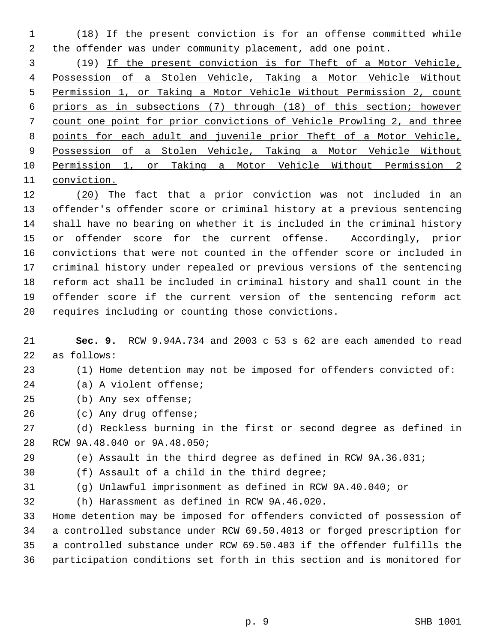(18) If the present conviction is for an offense committed while the offender was under community placement, add one point.

 (19) If the present conviction is for Theft of a Motor Vehicle, Possession of a Stolen Vehicle, Taking a Motor Vehicle Without Permission 1, or Taking a Motor Vehicle Without Permission 2, count priors as in subsections (7) through (18) of this section; however count one point for prior convictions of Vehicle Prowling 2, and three points for each adult and juvenile prior Theft of a Motor Vehicle, Possession of a Stolen Vehicle, Taking a Motor Vehicle Without Permission 1, or Taking a Motor Vehicle Without Permission 2 conviction.

 (20) The fact that a prior conviction was not included in an offender's offender score or criminal history at a previous sentencing shall have no bearing on whether it is included in the criminal history or offender score for the current offense. Accordingly, prior convictions that were not counted in the offender score or included in criminal history under repealed or previous versions of the sentencing reform act shall be included in criminal history and shall count in the offender score if the current version of the sentencing reform act requires including or counting those convictions.

 **Sec. 9.** RCW 9.94A.734 and 2003 c 53 s 62 are each amended to read as follows:

- (1) Home detention may not be imposed for offenders convicted of:
- (a) A violent offense;
- (b) Any sex offense;
- (c) Any drug offense;

 (d) Reckless burning in the first or second degree as defined in RCW 9A.48.040 or 9A.48.050;

- (e) Assault in the third degree as defined in RCW 9A.36.031;
- (f) Assault of a child in the third degree;
- 
- (g) Unlawful imprisonment as defined in RCW 9A.40.040; or
- (h) Harassment as defined in RCW 9A.46.020.

 Home detention may be imposed for offenders convicted of possession of a controlled substance under RCW 69.50.4013 or forged prescription for a controlled substance under RCW 69.50.403 if the offender fulfills the participation conditions set forth in this section and is monitored for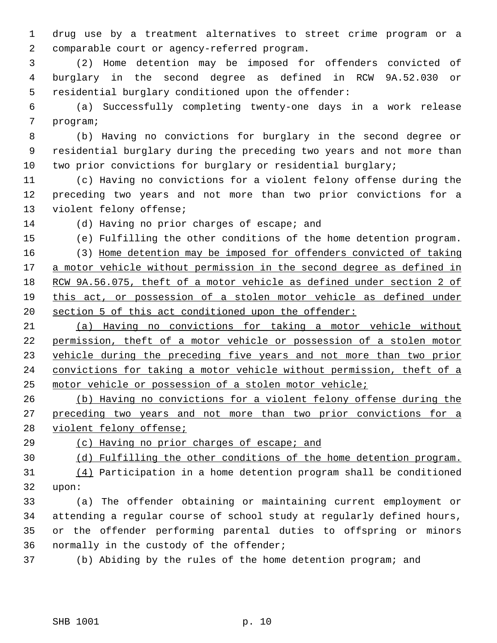drug use by a treatment alternatives to street crime program or a comparable court or agency-referred program.

 (2) Home detention may be imposed for offenders convicted of burglary in the second degree as defined in RCW 9A.52.030 or residential burglary conditioned upon the offender:

 (a) Successfully completing twenty-one days in a work release program;

 (b) Having no convictions for burglary in the second degree or residential burglary during the preceding two years and not more than two prior convictions for burglary or residential burglary;

 (c) Having no convictions for a violent felony offense during the preceding two years and not more than two prior convictions for a violent felony offense;

(d) Having no prior charges of escape; and

(e) Fulfilling the other conditions of the home detention program.

 (3) Home detention may be imposed for offenders convicted of taking 17 a motor vehicle without permission in the second degree as defined in RCW 9A.56.075, theft of a motor vehicle as defined under section 2 of this act, or possession of a stolen motor vehicle as defined under section 5 of this act conditioned upon the offender:

 (a) Having no convictions for taking a motor vehicle without permission, theft of a motor vehicle or possession of a stolen motor vehicle during the preceding five years and not more than two prior convictions for taking a motor vehicle without permission, theft of a motor vehicle or possession of a stolen motor vehicle;

 (b) Having no convictions for a violent felony offense during the 27 preceding two years and not more than two prior convictions for a violent felony offense;

(c) Having no prior charges of escape; and

(d) Fulfilling the other conditions of the home detention program.

 (4) Participation in a home detention program shall be conditioned upon:

 (a) The offender obtaining or maintaining current employment or attending a regular course of school study at regularly defined hours, or the offender performing parental duties to offspring or minors normally in the custody of the offender;

(b) Abiding by the rules of the home detention program; and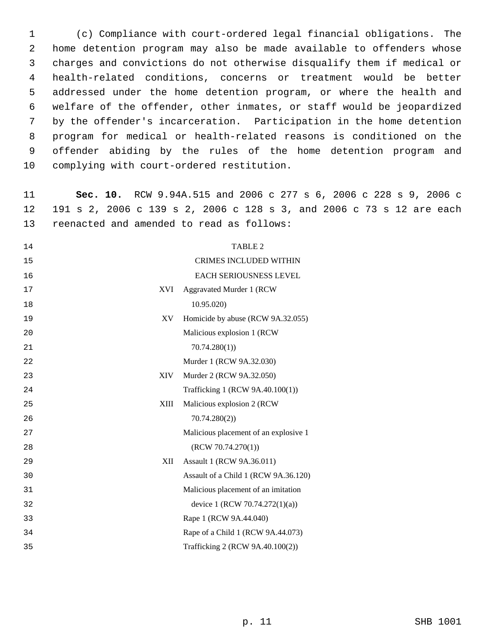(c) Compliance with court-ordered legal financial obligations. The home detention program may also be made available to offenders whose charges and convictions do not otherwise disqualify them if medical or health-related conditions, concerns or treatment would be better addressed under the home detention program, or where the health and welfare of the offender, other inmates, or staff would be jeopardized by the offender's incarceration. Participation in the home detention program for medical or health-related reasons is conditioned on the offender abiding by the rules of the home detention program and complying with court-ordered restitution.

 **Sec. 10.** RCW 9.94A.515 and 2006 c 277 s 6, 2006 c 228 s 9, 2006 c 191 s 2, 2006 c 139 s 2, 2006 c 128 s 3, and 2006 c 73 s 12 are each reenacted and amended to read as follows:

|            | <b>TABLE 2</b>                        |
|------------|---------------------------------------|
|            | <b>CRIMES INCLUDED WITHIN</b>         |
|            | EACH SERIOUSNESS LEVEL                |
| <b>XVI</b> | Aggravated Murder 1 (RCW              |
|            | 10.95.020)                            |
| XV         | Homicide by abuse (RCW 9A.32.055)     |
|            | Malicious explosion 1 (RCW            |
|            | 70.74.280(1)                          |
|            | Murder 1 (RCW 9A.32.030)              |
| XIV-       | Murder 2 (RCW 9A.32.050)              |
|            | Trafficking 1 (RCW 9A.40.100(1))      |
| XIII       | Malicious explosion 2 (RCW            |
|            | 70.74.280(2)                          |
|            | Malicious placement of an explosive 1 |
|            | (RCW 70.74.270(1))                    |
| XII        | Assault 1 (RCW 9A.36.011)             |
|            | Assault of a Child 1 (RCW 9A.36.120)  |
|            | Malicious placement of an imitation   |
|            | device 1 (RCW 70.74.272(1)(a))        |
|            | Rape 1 (RCW 9A.44.040)                |
|            | Rape of a Child 1 (RCW 9A.44.073)     |
|            | Trafficking 2 (RCW 9A.40.100(2))      |
|            |                                       |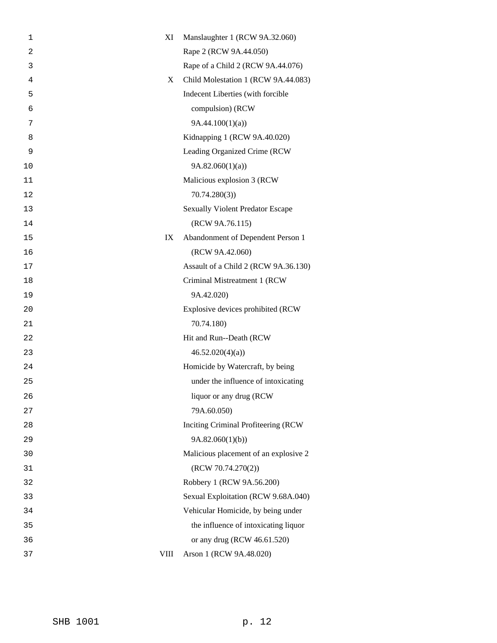| 1              | XI          | Manslaughter 1 (RCW 9A.32.060)          |
|----------------|-------------|-----------------------------------------|
| $\overline{c}$ |             | Rape 2 (RCW 9A.44.050)                  |
| 3              |             | Rape of a Child 2 (RCW 9A.44.076)       |
| 4              | X           | Child Molestation 1 (RCW 9A.44.083)     |
| 5              |             | Indecent Liberties (with forcible       |
| 6              |             | compulsion) (RCW                        |
| 7              |             | 9A.44.100(1)(a)                         |
| 8              |             | Kidnapping 1 (RCW 9A.40.020)            |
| 9              |             | Leading Organized Crime (RCW            |
| 10             |             | 9A.82.060(1)(a)                         |
| 11             |             | Malicious explosion 3 (RCW              |
| 12             |             | 70.74.280(3)                            |
| 13             |             | <b>Sexually Violent Predator Escape</b> |
| 14             |             | (RCW 9A.76.115)                         |
| 15             | IX          | Abandonment of Dependent Person 1       |
| 16             |             | (RCW 9A.42.060)                         |
| 17             |             | Assault of a Child 2 (RCW 9A.36.130)    |
| 18             |             | Criminal Mistreatment 1 (RCW            |
| 19             |             | 9A.42.020)                              |
| 20             |             | Explosive devices prohibited (RCW       |
| 21             |             | 70.74.180)                              |
| 22             |             | Hit and Run--Death (RCW                 |
| 23             |             | 46.52.020(4)(a)                         |
| 24             |             | Homicide by Watercraft, by being        |
| 25             |             | under the influence of intoxicating     |
| 26             |             | liquor or any drug (RCW)                |
| 27             |             | 79A.60.050)                             |
| 28             |             | Inciting Criminal Profiteering (RCW     |
| 29             |             | 9A.82.060(1)(b)                         |
| 30             |             | Malicious placement of an explosive 2   |
| 31             |             | (RCW 70.74.270(2))                      |
| 32             |             | Robbery 1 (RCW 9A.56.200)               |
| 33             |             | Sexual Exploitation (RCW 9.68A.040)     |
| 34             |             | Vehicular Homicide, by being under      |
| 35             |             | the influence of intoxicating liquor    |
| 36             |             | or any drug (RCW 46.61.520)             |
| 37             | <b>VIII</b> | Arson 1 (RCW 9A.48.020)                 |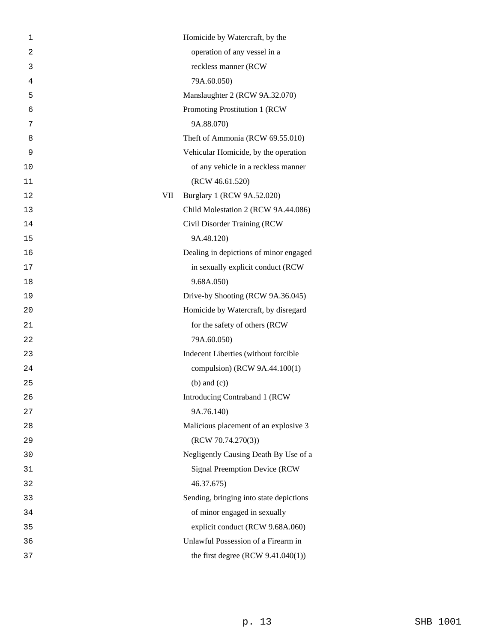| 1  |     | Homicide by Watercraft, by the          |
|----|-----|-----------------------------------------|
| 2  |     | operation of any vessel in a            |
| 3  |     | reckless manner (RCW                    |
| 4  |     | 79A.60.050)                             |
| 5  |     | Manslaughter 2 (RCW 9A.32.070)          |
| 6  |     | Promoting Prostitution 1 (RCW           |
| 7  |     | 9A.88.070)                              |
| 8  |     | Theft of Ammonia (RCW 69.55.010)        |
| 9  |     | Vehicular Homicide, by the operation    |
| 10 |     | of any vehicle in a reckless manner     |
| 11 |     | (RCW 46.61.520)                         |
| 12 | VII | Burglary 1 (RCW 9A.52.020)              |
| 13 |     | Child Molestation 2 (RCW 9A.44.086)     |
| 14 |     | Civil Disorder Training (RCW            |
| 15 |     | 9A.48.120)                              |
| 16 |     | Dealing in depictions of minor engaged  |
| 17 |     | in sexually explicit conduct (RCW       |
| 18 |     | 9.68A.050)                              |
| 19 |     | Drive-by Shooting (RCW 9A.36.045)       |
| 20 |     | Homicide by Watercraft, by disregard    |
| 21 |     | for the safety of others (RCW           |
| 22 |     | 79A.60.050)                             |
| 23 |     | Indecent Liberties (without forcible    |
| 24 |     | compulsion) (RCW 9A.44.100(1)           |
| 25 |     | $(b)$ and $(c)$ )                       |
| 26 |     | Introducing Contraband 1 (RCW           |
| 27 |     | 9A.76.140)                              |
| 28 |     | Malicious placement of an explosive 3   |
| 29 |     | (RCW 70.74.270(3))                      |
| 30 |     | Negligently Causing Death By Use of a   |
| 31 |     | Signal Preemption Device (RCW           |
| 32 |     | 46.37.675)                              |
| 33 |     | Sending, bringing into state depictions |
| 34 |     | of minor engaged in sexually            |
| 35 |     | explicit conduct (RCW 9.68A.060)        |
| 36 |     | Unlawful Possession of a Firearm in     |
| 37 |     | the first degree $(RCW 9.41.040(1))$    |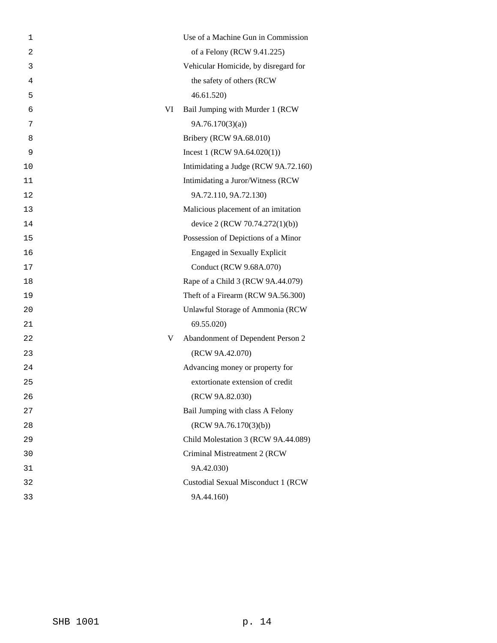| 1  | Use of a Machine Gun in Commission     |
|----|----------------------------------------|
| 2  | of a Felony (RCW 9.41.225)             |
| 3  | Vehicular Homicide, by disregard for   |
| 4  | the safety of others (RCW              |
| 5  | 46.61.520                              |
| 6  | VI<br>Bail Jumping with Murder 1 (RCW  |
| 7  | 9A.76.170(3)(a)                        |
| 8  | Bribery (RCW 9A.68.010)                |
| 9  | Incest 1 (RCW $9A.64.020(1)$ )         |
| 10 | Intimidating a Judge (RCW 9A.72.160)   |
| 11 | Intimidating a Juror/Witness (RCW      |
| 12 | 9A.72.110, 9A.72.130)                  |
| 13 | Malicious placement of an imitation    |
| 14 | device 2 (RCW 70.74.272(1)(b))         |
| 15 | Possession of Depictions of a Minor    |
| 16 | <b>Engaged in Sexually Explicit</b>    |
| 17 | Conduct (RCW 9.68A.070)                |
| 18 | Rape of a Child 3 (RCW 9A.44.079)      |
| 19 | Theft of a Firearm (RCW 9A.56.300)     |
| 20 | Unlawful Storage of Ammonia (RCW       |
| 21 | 69.55.020)                             |
| 22 | Abandonment of Dependent Person 2<br>V |
| 23 | (RCW 9A.42.070)                        |
| 24 | Advancing money or property for        |
| 25 | extortionate extension of credit       |
| 26 | (RCW 9A.82.030)                        |
| 27 | Bail Jumping with class A Felony       |
| 28 | (RCW 9A.76.170(3)(b))                  |
| 29 | Child Molestation 3 (RCW 9A.44.089)    |
| 30 | Criminal Mistreatment 2 (RCW           |
| 31 | 9A.42.030)                             |
| 32 | Custodial Sexual Misconduct 1 (RCW     |
| 33 | 9A.44.160)                             |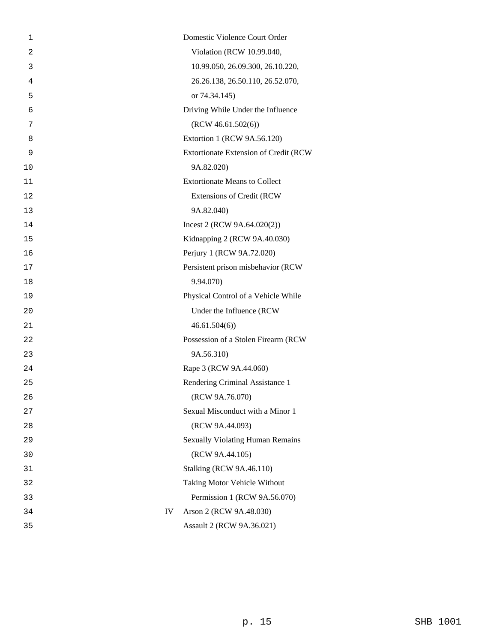|    | Domestic Violence Court Order           |
|----|-----------------------------------------|
|    | Violation (RCW 10.99.040,               |
|    | 10.99.050, 26.09.300, 26.10.220,        |
|    | 26.26.138, 26.50.110, 26.52.070,        |
|    | or 74.34.145)                           |
|    | Driving While Under the Influence       |
|    | (RCW 46.61.502(6))                      |
|    | Extortion 1 (RCW 9A.56.120)             |
|    | Extortionate Extension of Credit (RCW   |
|    | 9A.82.020)                              |
|    | <b>Extortionate Means to Collect</b>    |
|    | <b>Extensions of Credit (RCW</b>        |
|    | 9A.82.040)                              |
|    | Incest 2 (RCW $9A.64.020(2)$ )          |
|    | Kidnapping 2 (RCW 9A.40.030)            |
|    | Perjury 1 (RCW 9A.72.020)               |
|    | Persistent prison misbehavior (RCW      |
|    | 9.94.070)                               |
|    | Physical Control of a Vehicle While     |
|    | Under the Influence (RCW                |
|    | 46.61.504(6)                            |
|    | Possession of a Stolen Firearm (RCW     |
|    | 9A.56.310)                              |
|    | Rape 3 (RCW 9A.44.060)                  |
|    | Rendering Criminal Assistance 1         |
|    | (RCW 9A.76.070)                         |
|    | Sexual Misconduct with a Minor 1        |
|    | (RCW 9A.44.093)                         |
|    | <b>Sexually Violating Human Remains</b> |
|    | (RCW 9A.44.105)                         |
|    | <b>Stalking (RCW 9A.46.110)</b>         |
|    | Taking Motor Vehicle Without            |
|    | Permission 1 (RCW 9A.56.070)            |
| IV | Arson 2 (RCW 9A.48.030)                 |
|    | Assault 2 (RCW 9A.36.021)               |
|    |                                         |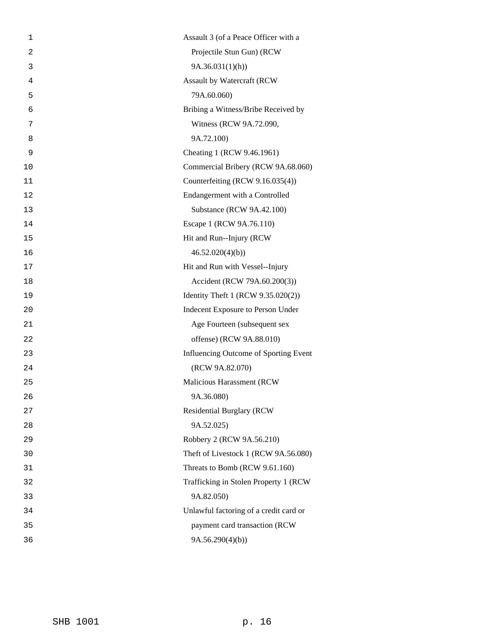| 1              | Assault 3 (of a Peace Officer with a   |
|----------------|----------------------------------------|
| $\overline{2}$ | Projectile Stun Gun) (RCW              |
| 3              | 9A.36.031(1)(h)                        |
| 4              | <b>Assault by Watercraft (RCW</b>      |
| 5              | 79A.60.060)                            |
| 6              | Bribing a Witness/Bribe Received by    |
| 7              | Witness (RCW 9A.72.090,                |
| 8              | 9A.72.100)                             |
| 9              | Cheating 1 (RCW 9.46.1961)             |
| 10             | Commercial Bribery (RCW 9A.68.060)     |
| 11             | Counterfeiting (RCW 9.16.035(4))       |
| 12             | Endangerment with a Controlled         |
| 13             | Substance (RCW 9A.42.100)              |
| 14             | Escape 1 (RCW 9A.76.110)               |
| 15             | Hit and Run--Injury (RCW               |
| 16             | 46.52.020(4)(b)                        |
| 17             | Hit and Run with Vessel--Injury        |
| 18             | Accident (RCW 79A.60.200(3))           |
| 19             | Identity Theft 1 (RCW 9.35.020(2))     |
| 20             | Indecent Exposure to Person Under      |
| 21             | Age Fourteen (subsequent sex           |
| 22             | offense) (RCW 9A.88.010)               |
| 23             | Influencing Outcome of Sporting Event  |
| 24             | (RCW 9A.82.070)                        |
| 25             | Malicious Harassment (RCW              |
| 26             | 9A.36.080)                             |
| 27             | <b>Residential Burglary (RCW</b>       |
| 28             | 9A.52.025)                             |
| 29             | Robbery 2 (RCW 9A.56.210)              |
| 30             | Theft of Livestock 1 (RCW 9A.56.080)   |
| 31             | Threats to Bomb (RCW 9.61.160)         |
| 32             | Trafficking in Stolen Property 1 (RCW) |
| 33             | 9A.82.050)                             |
| 34             | Unlawful factoring of a credit card or |
| 35             | payment card transaction (RCW          |
| 36             | 9A.56.290(4)(b)                        |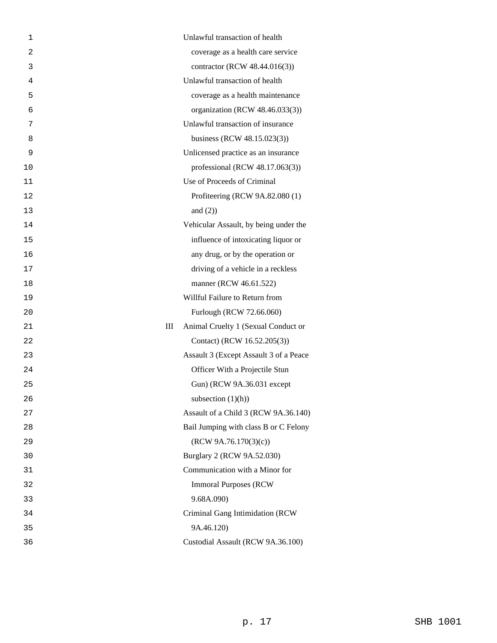| 1              | Unlawful transaction of health           |
|----------------|------------------------------------------|
| $\overline{2}$ | coverage as a health care service        |
| 3              | contractor (RCW 48.44.016(3))            |
| 4              | Unlawful transaction of health           |
| 5              | coverage as a health maintenance         |
| 6              | organization (RCW 48.46.033(3))          |
| 7              | Unlawful transaction of insurance        |
| 8              | business (RCW 48.15.023(3))              |
| 9              | Unlicensed practice as an insurance      |
| 10             | professional (RCW $48.17.063(3)$ )       |
| 11             | Use of Proceeds of Criminal              |
| 12             | Profiteering (RCW 9A.82.080 (1)          |
| 13             | and $(2)$ )                              |
| 14             | Vehicular Assault, by being under the    |
| 15             | influence of intoxicating liquor or      |
| 16             | any drug, or by the operation or         |
| 17             | driving of a vehicle in a reckless       |
| 18             | manner (RCW 46.61.522)                   |
| 19             | Willful Failure to Return from           |
| 20             | Furlough (RCW 72.66.060)                 |
| 21             | Ш<br>Animal Cruelty 1 (Sexual Conduct or |
| 22             | Contact) (RCW 16.52.205(3))              |
| 23             | Assault 3 (Except Assault 3 of a Peace   |
| 24             | Officer With a Projectile Stun           |
| 25             | Gun) (RCW 9A.36.031 except               |
| 26             | subsection $(1)(h)$                      |
| 27             | Assault of a Child 3 (RCW 9A.36.140)     |
| 28             | Bail Jumping with class B or C Felony    |
| 29             | (RCW 9A.76.170(3)(c))                    |
| 30             | Burglary 2 (RCW 9A.52.030)               |
| 31             | Communication with a Minor for           |
| 32             | <b>Immoral Purposes (RCW)</b>            |
| 33             | 9.68A.090)                               |
| 34             | Criminal Gang Intimidation (RCW          |
| 35             | 9A.46.120)                               |
| 36             | Custodial Assault (RCW 9A.36.100)        |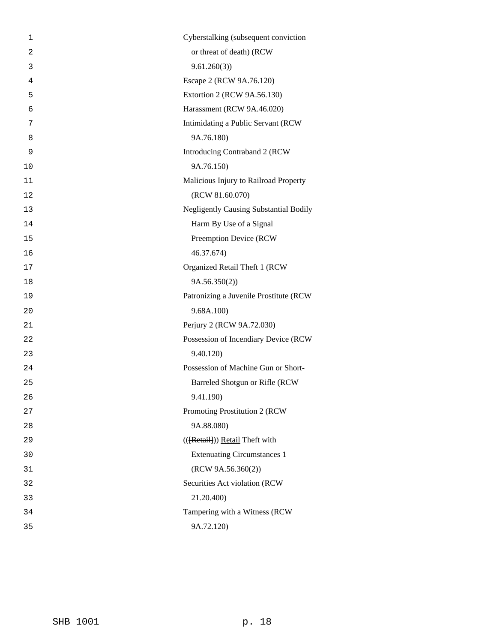| 1              | Cyberstalking (subsequent conviction          |
|----------------|-----------------------------------------------|
| $\overline{2}$ | or threat of death) (RCW                      |
| 3              | 9.61.260(3)                                   |
| 4              | Escape 2 (RCW 9A.76.120)                      |
| 5              | Extortion 2 (RCW 9A.56.130)                   |
| 6              | Harassment (RCW 9A.46.020)                    |
| 7              | Intimidating a Public Servant (RCW            |
| 8              | 9A.76.180)                                    |
| 9              | Introducing Contraband 2 (RCW                 |
| 10             | 9A.76.150)                                    |
| 11             | Malicious Injury to Railroad Property         |
| 12             | (RCW 81.60.070)                               |
| 13             | <b>Negligently Causing Substantial Bodily</b> |
| 14             | Harm By Use of a Signal                       |
| 15             | Preemption Device (RCW                        |
| 16             | 46.37.674)                                    |
| 17             | Organized Retail Theft 1 (RCW                 |
| 18             | 9A.56.350(2)                                  |
| 19             | Patronizing a Juvenile Prostitute (RCW        |
| 20             | 9.68A.100)                                    |
| 21             | Perjury 2 (RCW 9A.72.030)                     |
| 22             | Possession of Incendiary Device (RCW          |
| 23             | 9.40.120)                                     |
| 24             | Possession of Machine Gun or Short-           |
| 25             | Barreled Shotgun or Rifle (RCW                |
| 26             | 9.41.190)                                     |
| 27             | Promoting Prostitution 2 (RCW                 |
| 28             | 9A.88.080)                                    |
| 29             | (({Retail})) Retail Theft with                |
| 30             | <b>Extenuating Circumstances 1</b>            |
| 31             | (RCW 9A.56.360(2))                            |
| 32             | Securities Act violation (RCW                 |
| 33             | 21.20.400)                                    |
| 34             | Tampering with a Witness (RCW                 |
| 35             | 9A.72.120)                                    |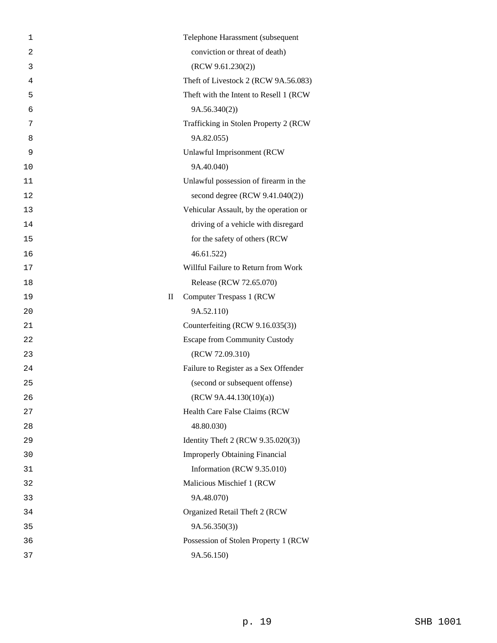| 1              |                                 | Telephone Harassment (subsequent        |
|----------------|---------------------------------|-----------------------------------------|
| $\overline{2}$ |                                 | conviction or threat of death)          |
| 3              |                                 | (RCW 9.61.230(2))                       |
| 4              |                                 | Theft of Livestock 2 (RCW 9A.56.083)    |
| 5              |                                 | Theft with the Intent to Resell 1 (RCW) |
| 6              |                                 | 9A.56.340(2))                           |
| 7              |                                 | Trafficking in Stolen Property 2 (RCW   |
| 8              |                                 | 9A.82.055)                              |
| 9              |                                 | Unlawful Imprisonment (RCW              |
| 10             |                                 | 9A.40.040)                              |
| 11             |                                 | Unlawful possession of firearm in the   |
| 12             |                                 | second degree (RCW 9.41.040(2))         |
| 13             |                                 | Vehicular Assault, by the operation or  |
| 14             |                                 | driving of a vehicle with disregard     |
| 15             |                                 | for the safety of others (RCW           |
| 16             |                                 | 46.61.522                               |
| 17             |                                 | Willful Failure to Return from Work     |
| 18             |                                 | Release (RCW 72.65.070)                 |
| 19             | $\mathop{\mathrm{II}}\nolimits$ | Computer Trespass 1 (RCW)               |
| 20             |                                 | 9A.52.110)                              |
| 21             |                                 | Counterfeiting (RCW 9.16.035(3))        |
| 22             |                                 | <b>Escape from Community Custody</b>    |
| 23             |                                 | (RCW 72.09.310)                         |
| 24             |                                 | Failure to Register as a Sex Offender   |
| 25             |                                 | (second or subsequent offense)          |
| 26             |                                 | (RCW 9A.44.130(10)(a))                  |
| 27             |                                 | Health Care False Claims (RCW           |
| 28             |                                 | 48.80.030)                              |
| 29             |                                 | Identity Theft 2 (RCW 9.35.020(3))      |
| 30             |                                 | <b>Improperly Obtaining Financial</b>   |
| 31             |                                 | Information (RCW 9.35.010)              |
| 32             |                                 | Malicious Mischief 1 (RCW               |
| 33             |                                 | 9A.48.070)                              |
| 34             |                                 | Organized Retail Theft 2 (RCW           |
| 35             |                                 | 9A.56.350(3)                            |
| 36             |                                 | Possession of Stolen Property 1 (RCW    |
| 37             |                                 | 9A.56.150)                              |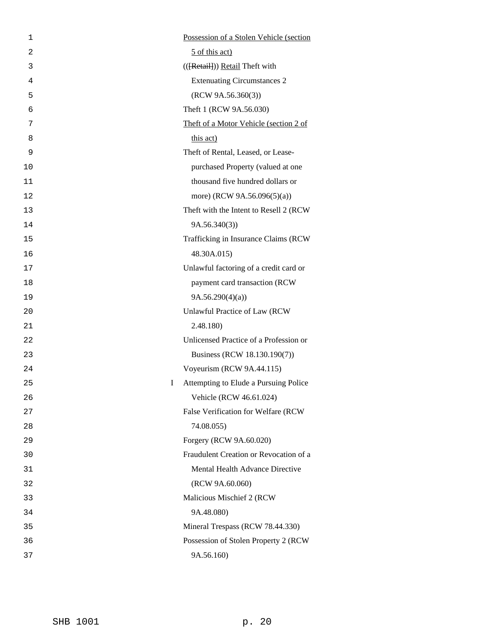| 1  | Possession of a Stolen Vehicle (section    |
|----|--------------------------------------------|
| 2  | 5 of this act)                             |
| 3  | (({Retail})) Retail Theft with             |
| 4  | <b>Extenuating Circumstances 2</b>         |
| 5  | (RCW 9A.56.360(3))                         |
| 6  | Theft 1 (RCW 9A.56.030)                    |
| 7  | Theft of a Motor Vehicle (section 2 of     |
| 8  | this act)                                  |
| 9  | Theft of Rental, Leased, or Lease-         |
| 10 | purchased Property (valued at one          |
| 11 | thousand five hundred dollars or           |
| 12 | more) (RCW 9A.56.096(5)(a))                |
| 13 | Theft with the Intent to Resell 2 (RCW)    |
| 14 | 9A.56.340(3)                               |
| 15 | Trafficking in Insurance Claims (RCW       |
| 16 | 48.30A.015)                                |
| 17 | Unlawful factoring of a credit card or     |
| 18 | payment card transaction (RCW              |
| 19 | 9A.56.290(4)(a)                            |
| 20 | Unlawful Practice of Law (RCW              |
| 21 | 2.48.180)                                  |
| 22 | Unlicensed Practice of a Profession or     |
| 23 | Business (RCW 18.130.190(7))               |
| 24 | Voyeurism (RCW 9A.44.115)                  |
| 25 | I<br>Attempting to Elude a Pursuing Police |
| 26 | Vehicle (RCW 46.61.024)                    |
| 27 | False Verification for Welfare (RCW        |
| 28 | 74.08.055)                                 |
| 29 | Forgery (RCW 9A.60.020)                    |
| 30 | Fraudulent Creation or Revocation of a     |
| 31 | Mental Health Advance Directive            |
| 32 | (RCW 9A.60.060)                            |
| 33 | Malicious Mischief 2 (RCW)                 |
| 34 | 9A.48.080)                                 |
| 35 | Mineral Trespass (RCW 78.44.330)           |
| 36 | Possession of Stolen Property 2 (RCW       |
| 37 | 9A.56.160)                                 |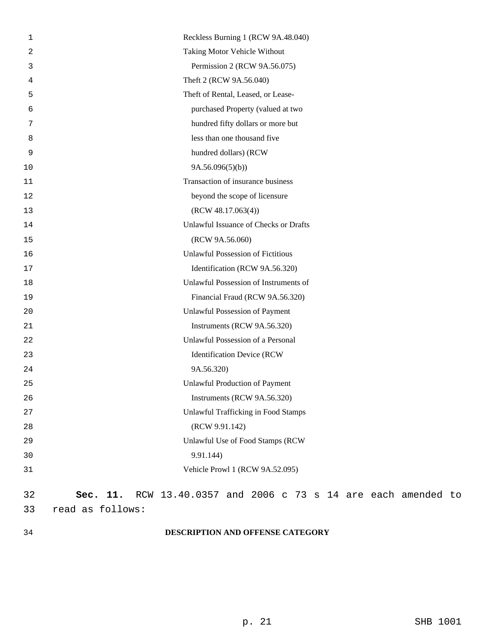| 1  | Reckless Burning 1 (RCW 9A.48.040)                                |
|----|-------------------------------------------------------------------|
| 2  | Taking Motor Vehicle Without                                      |
| 3  | Permission 2 (RCW 9A.56.075)                                      |
| 4  | Theft 2 (RCW 9A.56.040)                                           |
| 5  | Theft of Rental, Leased, or Lease-                                |
| 6  | purchased Property (valued at two                                 |
| 7  | hundred fifty dollars or more but                                 |
| 8  | less than one thousand five                                       |
| 9  | hundred dollars) (RCW                                             |
| 10 | 9A.56.096(5)(b)                                                   |
| 11 | Transaction of insurance business                                 |
| 12 | beyond the scope of licensure                                     |
| 13 | (RCW 48.17.063(4))                                                |
| 14 | Unlawful Issuance of Checks or Drafts                             |
| 15 | (RCW 9A.56.060)                                                   |
| 16 | <b>Unlawful Possession of Fictitious</b>                          |
| 17 | Identification (RCW 9A.56.320)                                    |
| 18 | Unlawful Possession of Instruments of                             |
| 19 | Financial Fraud (RCW 9A.56.320)                                   |
| 20 | Unlawful Possession of Payment                                    |
| 21 | Instruments (RCW 9A.56.320)                                       |
| 22 | Unlawful Possession of a Personal                                 |
| 23 | <b>Identification Device (RCW</b>                                 |
| 24 | 9A.56.320)                                                        |
| 25 | <b>Unlawful Production of Payment</b>                             |
| 26 | Instruments (RCW 9A.56.320)                                       |
| 27 | <b>Unlawful Trafficking in Food Stamps</b>                        |
| 28 | (RCW 9.91.142)                                                    |
| 29 | Unlawful Use of Food Stamps (RCW                                  |
| 30 | 9.91.144)                                                         |
| 31 | Vehicle Prowl 1 (RCW 9A.52.095)                                   |
| 32 | RCW 13.40.0357 and 2006 c 73 s 14 are each amended to<br>Sec. 11. |
| 33 | read as follows:                                                  |

# 34 **DESCRIPTION AND OFFENSE CATEGORY**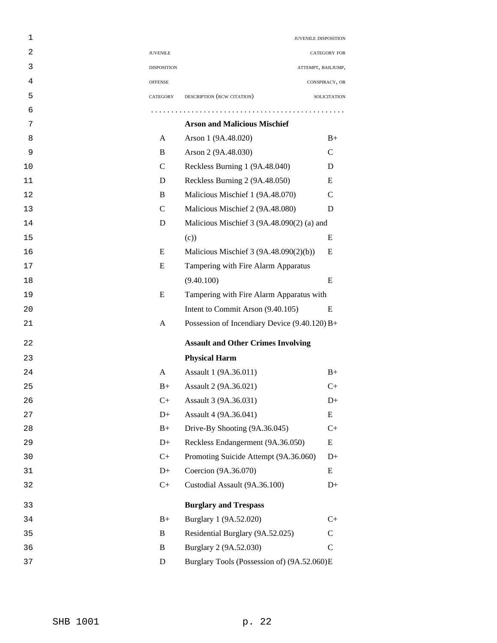| 1  |                    | JUVENILE DISPOSITION                          |                     |
|----|--------------------|-----------------------------------------------|---------------------|
| 2  | <b>JUVENILE</b>    |                                               | CATEGORY FOR        |
| 3  | <b>DISPOSITION</b> | ATTEMPT, BAILJUMP,                            |                     |
| 4  | <b>OFFENSE</b>     |                                               | CONSPIRACY, OR      |
| 5  | CATEGORY           | DESCRIPTION (RCW CITATION)                    | <b>SOLICITATION</b> |
| 6  |                    |                                               |                     |
| 7  |                    | <b>Arson and Malicious Mischief</b>           |                     |
| 8  | A                  | Arson 1 (9A.48.020)                           | $B+$                |
| 9  | B                  | Arson 2 (9A.48.030)                           | C                   |
| 10 | $\mathcal{C}$      | Reckless Burning 1 (9A.48.040)                | D                   |
| 11 | D                  | Reckless Burning 2 (9A.48.050)                | E                   |
| 12 | B                  | Malicious Mischief 1 (9A.48.070)              | C                   |
| 13 | $\mathcal{C}$      | Malicious Mischief 2 (9A.48.080)              | D                   |
| 14 | D                  | Malicious Mischief 3 (9A.48.090(2) (a) and    |                     |
| 15 |                    | (c)                                           | E                   |
| 16 | E                  | Malicious Mischief 3 (9A.48.090(2)(b))        | E                   |
| 17 | E                  | Tampering with Fire Alarm Apparatus           |                     |
| 18 |                    | (9.40.100)                                    | E                   |
| 19 | E                  | Tampering with Fire Alarm Apparatus with      |                     |
| 20 |                    | Intent to Commit Arson (9.40.105)             | E                   |
| 21 | A                  | Possession of Incendiary Device (9.40.120) B+ |                     |
| 22 |                    | <b>Assault and Other Crimes Involving</b>     |                     |
| 23 |                    | <b>Physical Harm</b>                          |                     |
| 24 | A                  | Assault 1 (9A.36.011)                         | $B+$                |
| 25 | $B+$               | Assault 2 (9A.36.021)                         | $C+$                |
| 26 | $C+$               | Assault 3 (9A.36.031)                         | $D+$                |
| 27 | $D+$               | Assault 4 (9A.36.041)                         | Ε                   |
| 28 | $B+$               | Drive-By Shooting (9A.36.045)                 | $C+$                |
| 29 | $D+$               | Reckless Endangerment (9A.36.050)             | Ε                   |
| 30 | $C+$               | Promoting Suicide Attempt (9A.36.060)         | $D+$                |
| 31 | $D+$               | Coercion (9A.36.070)                          | E                   |
| 32 | $C+$               | Custodial Assault (9A.36.100)                 | $D+$                |
| 33 |                    | <b>Burglary and Trespass</b>                  |                     |
| 34 | $B+$               | Burglary 1 (9A.52.020)                        | $C+$                |
| 35 | B                  | Residential Burglary (9A.52.025)              | $\mathsf{C}$        |
| 36 | B                  | Burglary 2 (9A.52.030)                        | $\mathcal{C}$       |
| 37 | $\mathbf D$        | Burglary Tools (Possession of) (9A.52.060)E   |                     |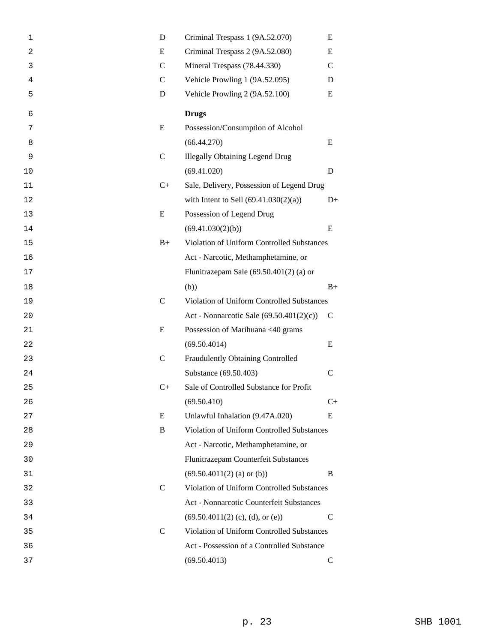| 1  | D             | Criminal Trespass 1 (9A.52.070)            | E             |  |
|----|---------------|--------------------------------------------|---------------|--|
| 2  | E             | Criminal Trespass 2 (9A.52.080)<br>E       |               |  |
| 3  | $\mathsf{C}$  | Mineral Trespass (78.44.330)               | $\mathcal{C}$ |  |
| 4  | $\mathcal{C}$ | Vehicle Prowling 1 (9A.52.095)             | D             |  |
| 5  | D             | Vehicle Prowling 2 (9A.52.100)             | E             |  |
| 6  |               | <b>Drugs</b>                               |               |  |
| 7  | E             | Possession/Consumption of Alcohol          |               |  |
| 8  |               | (66.44.270)                                | E             |  |
| 9  | $\mathsf{C}$  | <b>Illegally Obtaining Legend Drug</b>     |               |  |
| 10 |               | (69.41.020)                                | D             |  |
| 11 | $C+$          | Sale, Delivery, Possession of Legend Drug  |               |  |
| 12 |               | with Intent to Sell $(69.41.030(2)(a))$    | $D+$          |  |
| 13 | E             | Possession of Legend Drug                  |               |  |
| 14 |               | (69.41.030(2)(b))                          | E             |  |
| 15 | $B+$          | Violation of Uniform Controlled Substances |               |  |
| 16 |               | Act - Narcotic, Methamphetamine, or        |               |  |
| 17 |               | Flunitrazepam Sale $(69.50.401(2)$ (a) or  |               |  |
| 18 |               | (b))                                       | $B+$          |  |
| 19 | $\mathsf{C}$  | Violation of Uniform Controlled Substances |               |  |
| 20 |               | Act - Nonnarcotic Sale (69.50.401(2)(c))   | $\mathsf{C}$  |  |
| 21 | E             | Possession of Marihuana <40 grams          |               |  |
| 22 |               | (69.50.4014)                               | E             |  |
| 23 | $\mathsf{C}$  | Fraudulently Obtaining Controlled          |               |  |
| 24 |               | Substance (69.50.403)                      | $\mathsf{C}$  |  |
| 25 | $C+$          | Sale of Controlled Substance for Profit    |               |  |
| 26 |               | (69.50.410)                                | $C+$          |  |
| 27 | E             | Unlawful Inhalation (9.47A.020)            | E             |  |
| 28 | B             | Violation of Uniform Controlled Substances |               |  |
| 29 |               | Act - Narcotic, Methamphetamine, or        |               |  |
| 30 |               | Flunitrazepam Counterfeit Substances       |               |  |
| 31 |               | $(69.50.4011(2)$ (a) or (b))               | B             |  |
| 32 | $\mathsf{C}$  | Violation of Uniform Controlled Substances |               |  |
| 33 |               | Act - Nonnarcotic Counterfeit Substances   |               |  |
| 34 |               | $(69.50.4011(2)$ (c), (d), or (e))         | $\mathcal{C}$ |  |
| 35 | $\mathcal{C}$ | Violation of Uniform Controlled Substances |               |  |
| 36 |               | Act - Possession of a Controlled Substance |               |  |
| 37 |               | (69.50.4013)                               | $\mathsf{C}$  |  |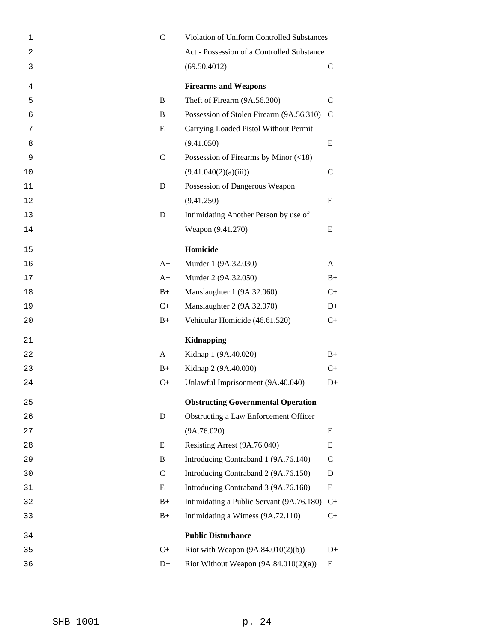| 1  | $\mathbf C$   | Violation of Uniform Controlled Substances  |               |
|----|---------------|---------------------------------------------|---------------|
| 2  |               | Act - Possession of a Controlled Substance  |               |
| 3  |               | (69.50.4012)                                | $\mathsf{C}$  |
| 4  |               | <b>Firearms and Weapons</b>                 |               |
| 5  | B             | Theft of Firearm (9A.56.300)                | $\mathcal{C}$ |
| 6  | B             | Possession of Stolen Firearm (9A.56.310)    | $\mathcal{C}$ |
| 7  | E             | Carrying Loaded Pistol Without Permit       |               |
| 8  |               | (9.41.050)                                  | E             |
| 9  | $\mathcal{C}$ | Possession of Firearms by Minor $(\leq 18)$ |               |
| 10 |               | (9.41.040(2)(a)(iii))                       | $\mathcal{C}$ |
| 11 | $D+$          | Possession of Dangerous Weapon              |               |
| 12 |               | (9.41.250)                                  | E             |
| 13 | D             | Intimidating Another Person by use of       |               |
| 14 |               | Weapon (9.41.270)                           | E             |
| 15 |               | Homicide                                    |               |
| 16 | $A+$          | Murder 1 (9A.32.030)                        | A             |
| 17 | $A+$          | Murder 2 (9A.32.050)                        | $B+$          |
| 18 | $B+$          | Manslaughter 1 (9A.32.060)                  | $C_{+}$       |
| 19 | $C+$          | Manslaughter 2 (9A.32.070)                  | $D+$          |
| 20 | $B+$          | Vehicular Homicide (46.61.520)              | $C+$          |
| 21 |               | <b>Kidnapping</b>                           |               |
| 22 | A             | Kidnap 1 (9A.40.020)                        | $B+$          |
| 23 | $B+$          | Kidnap 2 (9A.40.030)                        | $C+$          |
| 24 | $C+$          | Unlawful Imprisonment (9A.40.040)           | $D+$          |
| 25 |               | <b>Obstructing Governmental Operation</b>   |               |
| 26 | D             | Obstructing a Law Enforcement Officer       |               |
| 27 |               | (9A.76.020)                                 | E             |
| 28 | E             | Resisting Arrest (9A.76.040)                | Ε             |
| 29 | B             | Introducing Contraband 1 (9A.76.140)        | $\mathsf{C}$  |
| 30 | $\mathbf C$   | Introducing Contraband 2 (9A.76.150)        | D             |
| 31 | E             | Introducing Contraband 3 (9A.76.160)        | Ε             |
| 32 | $B+$          | Intimidating a Public Servant (9A.76.180)   | $C+$          |
| 33 | $B+$          | Intimidating a Witness (9A.72.110)          | $C+$          |
| 34 |               | <b>Public Disturbance</b>                   |               |
| 35 | $C+$          | Riot with Weapon $(9A.84.010(2)(b))$        | $D+$          |
| 36 | $D+$          | Riot Without Weapon $(9A.84.010(2)(a))$     | Ε             |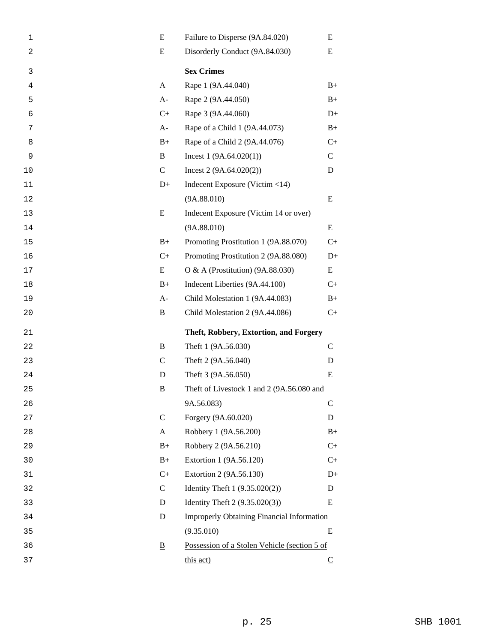| 1              | E                        | Failure to Disperse (9A.84.020)              | E                       |
|----------------|--------------------------|----------------------------------------------|-------------------------|
| $\overline{c}$ | E                        | Disorderly Conduct (9A.84.030)<br>E          |                         |
| 3              |                          | <b>Sex Crimes</b>                            |                         |
| 4              | A                        | Rape 1 (9A.44.040)                           | $B+$                    |
| 5              | $A-$                     | Rape 2 (9A.44.050)                           | $B+$                    |
| 6              | $C+$                     | Rape 3 (9A.44.060)                           | $D+$                    |
| 7              | $A-$                     | Rape of a Child 1 (9A.44.073)                | $B+$                    |
| 8              | $B+$                     | Rape of a Child 2 (9A.44.076)                | $C+$                    |
| 9              | B                        | Incest $1(9A.64.020(1))$                     | $\mathsf{C}$            |
| 10             | $\mathsf{C}$             | Incest $2(9A.64.020(2))$                     | D                       |
| 11             | $D+$                     | Indecent Exposure (Victim <14)               |                         |
| 12             |                          | (9A.88.010)                                  | E                       |
| 13             | E                        | Indecent Exposure (Victim 14 or over)        |                         |
| 14             |                          | (9A.88.010)                                  | E                       |
| 15             | $B+$                     | Promoting Prostitution 1 (9A.88.070)         | $C+$                    |
| 16             | $C+$                     | Promoting Prostitution 2 (9A.88.080)         | $D+$                    |
| 17             | E                        | O & A (Prostitution) $(9A.88.030)$           | E                       |
| 18             | $B+$                     | Indecent Liberties (9A.44.100)               | $C+$                    |
| 19             | $A-$                     | Child Molestation 1 (9A.44.083)              | $B+$                    |
| 20             | B                        | Child Molestation 2 (9A.44.086)              | $C+$                    |
| 21             |                          | Theft, Robbery, Extortion, and Forgery       |                         |
| 22             | B                        | Theft 1 (9A.56.030)                          | $\mathsf{C}$            |
| 23             | $\mathsf{C}$             | Theft 2 (9A.56.040)                          | D                       |
| 24             | D                        | Theft 3 (9A.56.050)                          | E                       |
| 25             | B                        | Theft of Livestock 1 and 2 (9A.56.080 and    |                         |
| 26             |                          | 9A.56.083)                                   | $\mathsf{C}$            |
| 27             | $\mathsf{C}$             | Forgery (9A.60.020)                          | D                       |
| 28             | A                        | Robbery 1 (9A.56.200)                        | $B+$                    |
| 29             | $B+$                     | Robbery 2 (9A.56.210)                        | $C+$                    |
| 30             | $B+$                     | Extortion 1 (9A.56.120)                      | $C+$                    |
| 31             | $C+$                     | Extortion 2 (9A.56.130)                      | $D+$                    |
| 32             | $\mathcal{C}$            | Identity Theft $1 (9.35.020(2))$             | D                       |
| 33             | D                        | Identity Theft $2(9.35.020(3))$              | E                       |
| 34             | D                        | Improperly Obtaining Financial Information   |                         |
| 35             |                          | (9.35.010)                                   | E                       |
| 36             | $\underline{\mathbf{B}}$ | Possession of a Stolen Vehicle (section 5 of |                         |
| 37             |                          | this act)                                    | $\overline{\mathsf{C}}$ |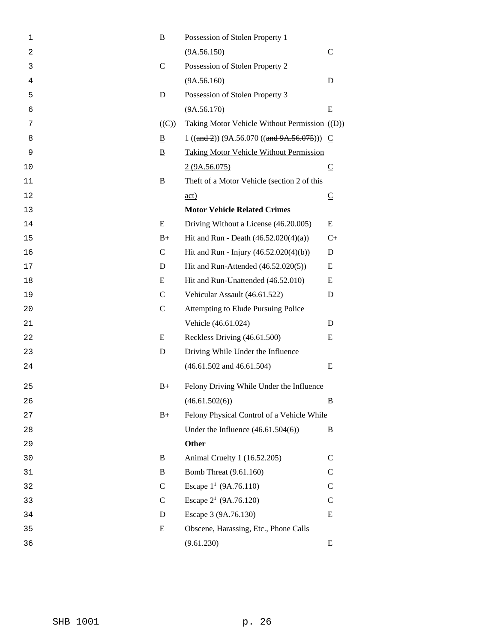| 1              | B                       | Possession of Stolen Property 1                |                         |
|----------------|-------------------------|------------------------------------------------|-------------------------|
| $\overline{2}$ |                         | (9A.56.150)                                    | $\mathsf{C}$            |
| 3              | $\mathsf{C}$            | Possession of Stolen Property 2                |                         |
| 4              |                         | (9A.56.160)                                    | D                       |
| 5              | D                       | Possession of Stolen Property 3                |                         |
| 6              |                         | (9A.56.170)                                    | E                       |
| 7              | $((\Theta))$            | Taking Motor Vehicle Without Permission ((Đ))  |                         |
| 8              | $\overline{\mathbf{B}}$ | $1 ((and 2)) (9A.56.070 ((and 9A.56.075))) C$  |                         |
| 9              | $\overline{B}$          | <b>Taking Motor Vehicle Without Permission</b> |                         |
| 10             |                         | 2(9A.56.075)                                   | $\overline{\mathsf{C}}$ |
| 11             | $\overline{\mathbf{B}}$ | Theft of a Motor Vehicle (section 2 of this    |                         |
| 12             |                         | $\underline{\text{act}}$                       | $\overline{\mathsf{C}}$ |
| 13             |                         | <b>Motor Vehicle Related Crimes</b>            |                         |
| 14             | E                       | Driving Without a License (46.20.005)          | E                       |
| 15             | $B+$                    | Hit and Run - Death $(46.52.020(4)(a))$        | $C+$                    |
| 16             | $\mathsf{C}$            | Hit and Run - Injury $(46.52.020(4)(b))$       | D                       |
| 17             | D                       | Hit and Run-Attended $(46.52.020(5))$          | E                       |
| 18             | E                       | Hit and Run-Unattended (46.52.010)             | E                       |
| 19             | $\mathsf{C}$            | Vehicular Assault (46.61.522)                  | D                       |
| 20             | $\mathbf C$             | Attempting to Elude Pursuing Police            |                         |
| 21             |                         | Vehicle (46.61.024)                            | D                       |
| 22             | E                       | Reckless Driving (46.61.500)                   | E                       |
| 23             | D                       | Driving While Under the Influence              |                         |
| 24             |                         | $(46.61.502$ and $46.61.504)$                  | E                       |
| 25             | $B+$                    | Felony Driving While Under the Influence       |                         |
| 26             |                         | (46.61.502(6))                                 | B                       |
| 27             | $B+$                    | Felony Physical Control of a Vehicle While     |                         |
| 28             |                         | Under the Influence $(46.61.504(6))$           | B                       |
| 29             |                         | <b>Other</b>                                   |                         |
| 30             | B                       | Animal Cruelty 1 (16.52.205)                   | $\mathsf{C}$            |
| 31             | B                       | Bomb Threat (9.61.160)                         | $\mathsf{C}$            |
| 32             | $\mathsf{C}$            | Escape $1^1$ (9A.76.110)                       | $\mathbf C$             |
| 33             | $\mathsf{C}$            | Escape $2^1$ (9A.76.120)                       | $\mathcal{C}$           |
| 34             | D                       | Escape 3 (9A.76.130)                           | E                       |
| 35             | E                       | Obscene, Harassing, Etc., Phone Calls          |                         |
| 36             |                         | (9.61.230)                                     | E                       |
|                |                         |                                                |                         |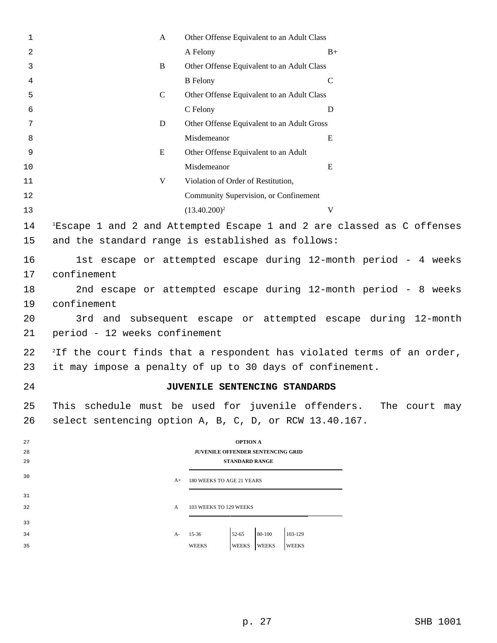| 1        | A                                                               | Other Offense Equivalent to an Adult Class                                        |                                                                                    |  |
|----------|-----------------------------------------------------------------|-----------------------------------------------------------------------------------|------------------------------------------------------------------------------------|--|
| 2        |                                                                 | A Felony                                                                          | $B+$                                                                               |  |
| 3        | B                                                               | Other Offense Equivalent to an Adult Class                                        |                                                                                    |  |
| 4        |                                                                 | <b>B</b> Felony                                                                   | $\mathsf{C}$                                                                       |  |
| 5        | $\mathcal{C}$                                                   | Other Offense Equivalent to an Adult Class                                        |                                                                                    |  |
| 6        |                                                                 | C Felony                                                                          | D                                                                                  |  |
| 7        | D                                                               | Other Offense Equivalent to an Adult Gross                                        |                                                                                    |  |
| 8        |                                                                 | Misdemeanor                                                                       | E                                                                                  |  |
| 9        | E                                                               | Other Offense Equivalent to an Adult                                              |                                                                                    |  |
| 10       |                                                                 | Misdemeanor                                                                       | Ε                                                                                  |  |
| 11       | V                                                               | Violation of Order of Restitution,                                                |                                                                                    |  |
| 12       |                                                                 | Community Supervision, or Confinement                                             |                                                                                    |  |
| 13       |                                                                 | $(13.40.200)^2$                                                                   | V                                                                                  |  |
| 14       |                                                                 |                                                                                   | <sup>1</sup> Escape 1 and 2 and Attempted Escape 1 and 2 are classed as C offenses |  |
| 15       |                                                                 | and the standard range is established as follows:                                 |                                                                                    |  |
|          |                                                                 |                                                                                   |                                                                                    |  |
| 16       |                                                                 |                                                                                   | 1st escape or attempted escape during 12-month period - 4 weeks                    |  |
| 17       | confinement                                                     |                                                                                   |                                                                                    |  |
| 18       | 2nd escape or attempted escape during 12-month period - 8 weeks |                                                                                   |                                                                                    |  |
| 19       | confinement                                                     |                                                                                   |                                                                                    |  |
| 20       |                                                                 |                                                                                   | 3rd and subsequent escape or attempted escape during 12-month                      |  |
| 21       | period - 12 weeks confinement                                   |                                                                                   |                                                                                    |  |
| 22       |                                                                 | <sup>2</sup> If the court finds that a respondent has violated terms of an order, |                                                                                    |  |
| 23       |                                                                 | it may impose a penalty of up to 30 days of confinement.                          |                                                                                    |  |
| 24       |                                                                 | JUVENILE SENTENCING STANDARDS                                                     |                                                                                    |  |
| 25       |                                                                 | This schedule must be used for juvenile offenders. The court may                  |                                                                                    |  |
| 26       |                                                                 | select sentencing option A, B, C, D, or RCW 13.40.167.                            |                                                                                    |  |
|          |                                                                 |                                                                                   |                                                                                    |  |
| 27       |                                                                 | <b>OPTION A</b>                                                                   |                                                                                    |  |
| 28<br>29 |                                                                 | <b>JUVENILE OFFENDER SENTENCING GRID</b><br><b>STANDARD RANGE</b>                 |                                                                                    |  |
| 30       |                                                                 |                                                                                   |                                                                                    |  |
|          | $A+$                                                            | 180 WEEKS TO AGE 21 YEARS                                                         |                                                                                    |  |
| 31       |                                                                 |                                                                                   |                                                                                    |  |
|          |                                                                 |                                                                                   |                                                                                    |  |
| 34       | A-                                                              | 103-129<br>$52 - 65$<br>$15 - 36$                                                 |                                                                                    |  |
| 35       |                                                                 | <b>WEEKS</b><br>WEEKS<br>WEEKS<br>WEEKS                                           |                                                                                    |  |
| 32<br>33 | A                                                               | 103 WEEKS TO 129 WEEKS<br>80-100                                                  |                                                                                    |  |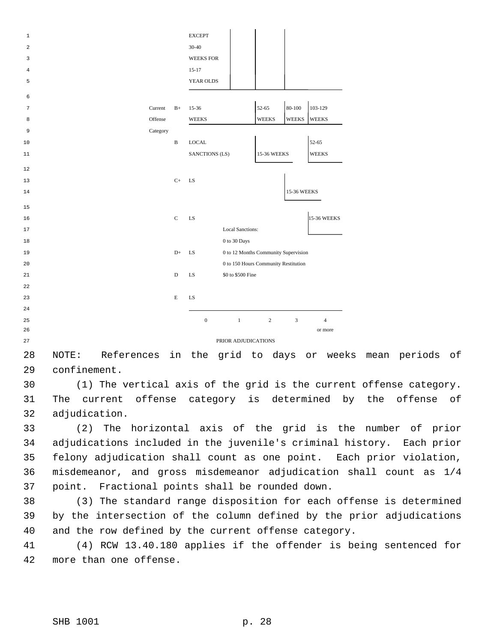| 1  |          |              | <b>EXCEPT</b>                              |                |              |                    |
|----|----------|--------------|--------------------------------------------|----------------|--------------|--------------------|
| 2  |          |              | $30 - 40$                                  |                |              |                    |
| 3  |          |              | <b>WEEKS FOR</b>                           |                |              |                    |
| 4  |          |              | $15-17$                                    |                |              |                    |
| 5  |          |              | YEAR OLDS                                  |                |              |                    |
|    |          |              |                                            |                |              |                    |
| 6  |          |              |                                            |                |              |                    |
| 7  | Current  | $B+$         | 15-36                                      | 52-65          | $80 - 100$   | 103-129            |
| 8  | Offense  |              | <b>WEEKS</b>                               | <b>WEEKS</b>   | <b>WEEKS</b> | <b>WEEKS</b>       |
| 9  | Category |              |                                            |                |              |                    |
| 10 |          | $\, {\bf B}$ | <b>LOCAL</b>                               |                |              | 52-65              |
| 11 |          |              | SANCTIONS (LS)                             | 15-36 WEEKS    |              | <b>WEEKS</b>       |
| 12 |          |              |                                            |                |              |                    |
| 13 |          | $C+$         | LS                                         |                |              |                    |
| 14 |          |              |                                            |                | 15-36 WEEKS  |                    |
|    |          |              |                                            |                |              |                    |
| 15 |          |              |                                            |                |              |                    |
| 16 |          | $\mathbf C$  | LS                                         |                |              | <b>15-36 WEEKS</b> |
| 17 |          |              | <b>Local Sanctions:</b>                    |                |              |                    |
| 18 |          |              | 0 to 30 Days                               |                |              |                    |
| 19 |          | $D+$         | 0 to 12 Months Community Supervision<br>LS |                |              |                    |
| 20 |          |              | 0 to 150 Hours Community Restitution       |                |              |                    |
| 21 |          | D            | \$0 to \$500 Fine<br>LS                    |                |              |                    |
| 22 |          |              |                                            |                |              |                    |
| 23 |          | E            | LS                                         |                |              |                    |
| 24 |          |              |                                            |                |              |                    |
| 25 |          |              | $\boldsymbol{0}$<br>$1\,$                  | $\overline{2}$ | 3            | $\overline{4}$     |
| 26 |          |              |                                            |                |              | or more            |
| 27 |          |              | PRIOR ADJUDICATIONS                        |                |              |                    |

 NOTE: References in the grid to days or weeks mean periods of confinement.

 (1) The vertical axis of the grid is the current offense category. The current offense category is determined by the offense of adjudication.

 (2) The horizontal axis of the grid is the number of prior adjudications included in the juvenile's criminal history. Each prior felony adjudication shall count as one point. Each prior violation, misdemeanor, and gross misdemeanor adjudication shall count as 1/4 point. Fractional points shall be rounded down.

 (3) The standard range disposition for each offense is determined by the intersection of the column defined by the prior adjudications and the row defined by the current offense category.

 (4) RCW 13.40.180 applies if the offender is being sentenced for more than one offense.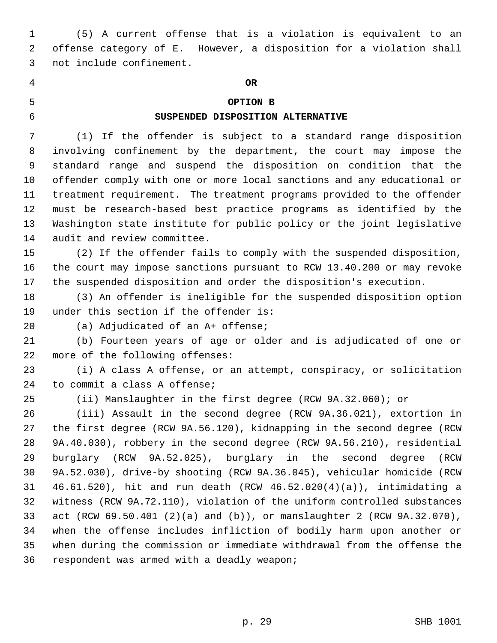(5) A current offense that is a violation is equivalent to an offense category of E. However, a disposition for a violation shall not include confinement.

## **OR**

## **OPTION B**

#### **SUSPENDED DISPOSITION ALTERNATIVE**

(1) If the offender is subject to a standard range disposition

 involving confinement by the department, the court may impose the standard range and suspend the disposition on condition that the offender comply with one or more local sanctions and any educational or treatment requirement. The treatment programs provided to the offender must be research-based best practice programs as identified by the Washington state institute for public policy or the joint legislative audit and review committee.

 (2) If the offender fails to comply with the suspended disposition, the court may impose sanctions pursuant to RCW 13.40.200 or may revoke the suspended disposition and order the disposition's execution.

 (3) An offender is ineligible for the suspended disposition option under this section if the offender is:

(a) Adjudicated of an A+ offense;

 (b) Fourteen years of age or older and is adjudicated of one or more of the following offenses:

 (i) A class A offense, or an attempt, conspiracy, or solicitation to commit a class A offense;

(ii) Manslaughter in the first degree (RCW 9A.32.060); or

 (iii) Assault in the second degree (RCW 9A.36.021), extortion in the first degree (RCW 9A.56.120), kidnapping in the second degree (RCW 9A.40.030), robbery in the second degree (RCW 9A.56.210), residential burglary (RCW 9A.52.025), burglary in the second degree (RCW 9A.52.030), drive-by shooting (RCW 9A.36.045), vehicular homicide (RCW 46.61.520), hit and run death (RCW 46.52.020(4)(a)), intimidating a witness (RCW 9A.72.110), violation of the uniform controlled substances act (RCW 69.50.401 (2)(a) and (b)), or manslaughter 2 (RCW 9A.32.070), when the offense includes infliction of bodily harm upon another or when during the commission or immediate withdrawal from the offense the respondent was armed with a deadly weapon;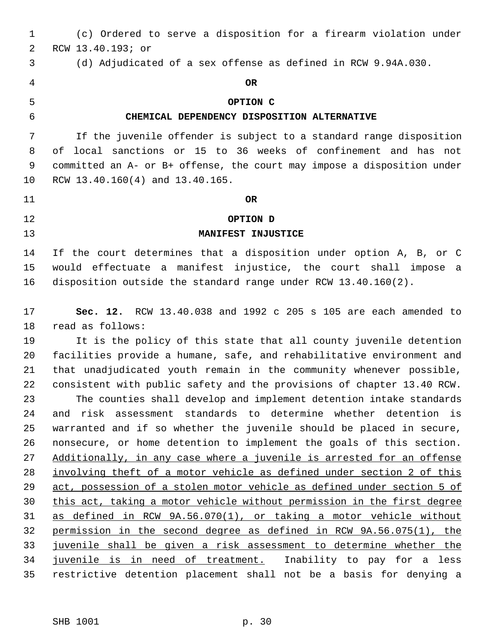| $\mathbf 1$ | (c) Ordered to serve a disposition for a firearm violation under               |
|-------------|--------------------------------------------------------------------------------|
| 2           | RCW 13.40.193; or                                                              |
| 3           | (d) Adjudicated of a sex offense as defined in RCW 9.94A.030.                  |
| 4           | <b>OR</b>                                                                      |
| 5           | OPTION C                                                                       |
| 6           | CHEMICAL DEPENDENCY DISPOSITION ALTERNATIVE                                    |
| 7           | If the juvenile offender is subject to a standard range disposition            |
| 8           | local sanctions or 15 to 36 weeks of confinement and has not<br>of             |
| 9           | committed an A- or B+ offense, the court may impose a disposition under        |
| 10          | RCW 13.40.160(4) and 13.40.165.                                                |
| 11          | <b>OR</b>                                                                      |
| 12          | OPTION D                                                                       |
| 13          | MANIFEST INJUSTICE                                                             |
| 14          | If the court determines that a disposition under option A, B, or C             |
| 15          | would effectuate a manifest injustice, the court shall impose a                |
| 16          | disposition outside the standard range under RCW 13.40.160(2).                 |
|             |                                                                                |
| 17          | <b>Sec. 12.</b> RCW 13.40.038 and 1992 c 205 s 105 are each amended to         |
| 18          | read as follows:                                                               |
| 19          | It is the policy of this state that all county juvenile detention              |
| 20          | facilities provide a humane, safe, and rehabilitative environment and          |
| 21          | that unadjudicated youth remain in the community whenever possible,            |
| 22          | consistent with public safety and the provisions of chapter 13.40 RCW.         |
| 23          | The counties shall develop and implement detention intake standards            |
| 24          | and risk assessment standards to determine whether detention is                |
| 25          | warranted and if so whether the juvenile should be placed in secure,           |
| 26          | nonsecure, or home detention to implement the goals of this section.           |
| 27          | Additionally, in any case where a juvenile is arrested for an offense          |
| 28          | involving theft of a motor vehicle as defined under section 2 of this          |
| 29          | <u>act, possession of a stolen motor vehicle as defined under section 5 of</u> |
| 30          | this act, taking a motor vehicle without permission in the first degree        |
| 31          | as defined in RCW 9A.56.070(1), or taking a motor vehicle without              |
| 32          | permission in the second degree as defined in RCW 9A.56.075(1), the            |
| 33          | juvenile shall be given a risk assessment to determine whether the             |
| 34          | juvenile is in need of treatment. Inability to pay for a less                  |
| 35          | restrictive detention placement shall not be a basis for denying a             |
|             |                                                                                |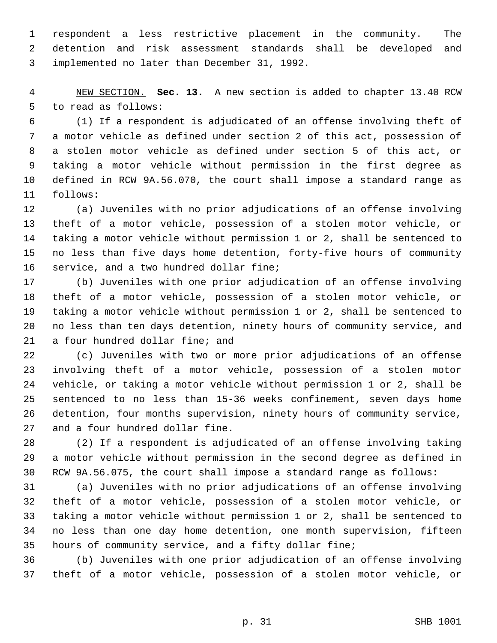respondent a less restrictive placement in the community. The detention and risk assessment standards shall be developed and implemented no later than December 31, 1992.

 NEW SECTION. **Sec. 13.** A new section is added to chapter 13.40 RCW to read as follows:

 (1) If a respondent is adjudicated of an offense involving theft of a motor vehicle as defined under section 2 of this act, possession of a stolen motor vehicle as defined under section 5 of this act, or taking a motor vehicle without permission in the first degree as defined in RCW 9A.56.070, the court shall impose a standard range as follows:

 (a) Juveniles with no prior adjudications of an offense involving theft of a motor vehicle, possession of a stolen motor vehicle, or taking a motor vehicle without permission 1 or 2, shall be sentenced to no less than five days home detention, forty-five hours of community service, and a two hundred dollar fine;

 (b) Juveniles with one prior adjudication of an offense involving theft of a motor vehicle, possession of a stolen motor vehicle, or taking a motor vehicle without permission 1 or 2, shall be sentenced to no less than ten days detention, ninety hours of community service, and a four hundred dollar fine; and

 (c) Juveniles with two or more prior adjudications of an offense involving theft of a motor vehicle, possession of a stolen motor vehicle, or taking a motor vehicle without permission 1 or 2, shall be sentenced to no less than 15-36 weeks confinement, seven days home detention, four months supervision, ninety hours of community service, and a four hundred dollar fine.

 (2) If a respondent is adjudicated of an offense involving taking a motor vehicle without permission in the second degree as defined in RCW 9A.56.075, the court shall impose a standard range as follows:

 (a) Juveniles with no prior adjudications of an offense involving theft of a motor vehicle, possession of a stolen motor vehicle, or taking a motor vehicle without permission 1 or 2, shall be sentenced to no less than one day home detention, one month supervision, fifteen hours of community service, and a fifty dollar fine;

 (b) Juveniles with one prior adjudication of an offense involving theft of a motor vehicle, possession of a stolen motor vehicle, or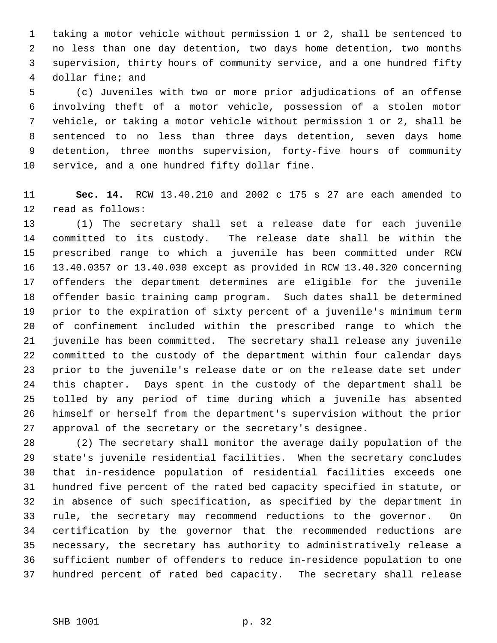taking a motor vehicle without permission 1 or 2, shall be sentenced to no less than one day detention, two days home detention, two months supervision, thirty hours of community service, and a one hundred fifty dollar fine; and

 (c) Juveniles with two or more prior adjudications of an offense involving theft of a motor vehicle, possession of a stolen motor vehicle, or taking a motor vehicle without permission 1 or 2, shall be sentenced to no less than three days detention, seven days home detention, three months supervision, forty-five hours of community service, and a one hundred fifty dollar fine.

 **Sec. 14.** RCW 13.40.210 and 2002 c 175 s 27 are each amended to read as follows:

 (1) The secretary shall set a release date for each juvenile committed to its custody. The release date shall be within the prescribed range to which a juvenile has been committed under RCW 13.40.0357 or 13.40.030 except as provided in RCW 13.40.320 concerning offenders the department determines are eligible for the juvenile offender basic training camp program. Such dates shall be determined prior to the expiration of sixty percent of a juvenile's minimum term of confinement included within the prescribed range to which the juvenile has been committed. The secretary shall release any juvenile committed to the custody of the department within four calendar days prior to the juvenile's release date or on the release date set under this chapter. Days spent in the custody of the department shall be tolled by any period of time during which a juvenile has absented himself or herself from the department's supervision without the prior approval of the secretary or the secretary's designee.

 (2) The secretary shall monitor the average daily population of the state's juvenile residential facilities. When the secretary concludes that in-residence population of residential facilities exceeds one hundred five percent of the rated bed capacity specified in statute, or in absence of such specification, as specified by the department in rule, the secretary may recommend reductions to the governor. On certification by the governor that the recommended reductions are necessary, the secretary has authority to administratively release a sufficient number of offenders to reduce in-residence population to one hundred percent of rated bed capacity. The secretary shall release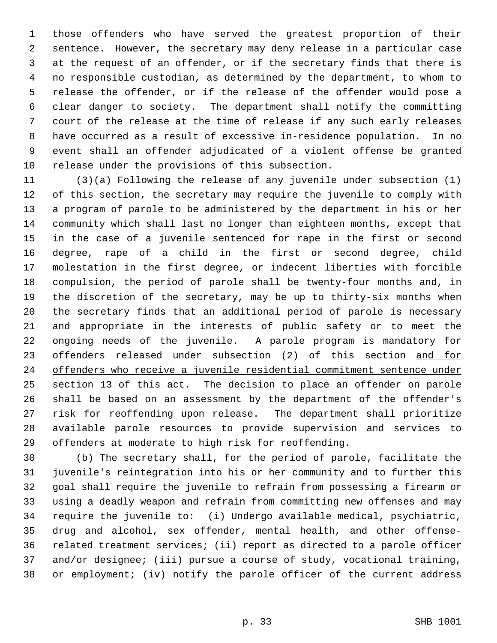those offenders who have served the greatest proportion of their sentence. However, the secretary may deny release in a particular case at the request of an offender, or if the secretary finds that there is no responsible custodian, as determined by the department, to whom to release the offender, or if the release of the offender would pose a clear danger to society. The department shall notify the committing court of the release at the time of release if any such early releases have occurred as a result of excessive in-residence population. In no event shall an offender adjudicated of a violent offense be granted release under the provisions of this subsection.

 (3)(a) Following the release of any juvenile under subsection (1) of this section, the secretary may require the juvenile to comply with a program of parole to be administered by the department in his or her community which shall last no longer than eighteen months, except that in the case of a juvenile sentenced for rape in the first or second degree, rape of a child in the first or second degree, child molestation in the first degree, or indecent liberties with forcible compulsion, the period of parole shall be twenty-four months and, in the discretion of the secretary, may be up to thirty-six months when the secretary finds that an additional period of parole is necessary and appropriate in the interests of public safety or to meet the ongoing needs of the juvenile. A parole program is mandatory for 23 offenders released under subsection (2) of this section and for offenders who receive a juvenile residential commitment sentence under 25 section 13 of this act. The decision to place an offender on parole shall be based on an assessment by the department of the offender's risk for reoffending upon release. The department shall prioritize available parole resources to provide supervision and services to offenders at moderate to high risk for reoffending.

 (b) The secretary shall, for the period of parole, facilitate the juvenile's reintegration into his or her community and to further this goal shall require the juvenile to refrain from possessing a firearm or using a deadly weapon and refrain from committing new offenses and may require the juvenile to: (i) Undergo available medical, psychiatric, drug and alcohol, sex offender, mental health, and other offense- related treatment services; (ii) report as directed to a parole officer and/or designee; (iii) pursue a course of study, vocational training, or employment; (iv) notify the parole officer of the current address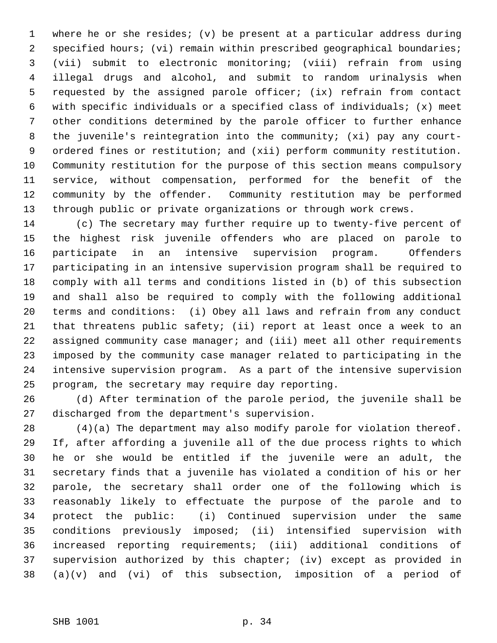where he or she resides; (v) be present at a particular address during specified hours; (vi) remain within prescribed geographical boundaries; (vii) submit to electronic monitoring; (viii) refrain from using illegal drugs and alcohol, and submit to random urinalysis when requested by the assigned parole officer; (ix) refrain from contact with specific individuals or a specified class of individuals; (x) meet other conditions determined by the parole officer to further enhance the juvenile's reintegration into the community; (xi) pay any court- ordered fines or restitution; and (xii) perform community restitution. Community restitution for the purpose of this section means compulsory service, without compensation, performed for the benefit of the community by the offender. Community restitution may be performed through public or private organizations or through work crews.

 (c) The secretary may further require up to twenty-five percent of the highest risk juvenile offenders who are placed on parole to participate in an intensive supervision program. Offenders participating in an intensive supervision program shall be required to comply with all terms and conditions listed in (b) of this subsection and shall also be required to comply with the following additional terms and conditions: (i) Obey all laws and refrain from any conduct that threatens public safety; (ii) report at least once a week to an assigned community case manager; and (iii) meet all other requirements imposed by the community case manager related to participating in the intensive supervision program. As a part of the intensive supervision program, the secretary may require day reporting.

 (d) After termination of the parole period, the juvenile shall be discharged from the department's supervision.

 (4)(a) The department may also modify parole for violation thereof. If, after affording a juvenile all of the due process rights to which he or she would be entitled if the juvenile were an adult, the secretary finds that a juvenile has violated a condition of his or her parole, the secretary shall order one of the following which is reasonably likely to effectuate the purpose of the parole and to protect the public: (i) Continued supervision under the same conditions previously imposed; (ii) intensified supervision with increased reporting requirements; (iii) additional conditions of supervision authorized by this chapter; (iv) except as provided in (a)(v) and (vi) of this subsection, imposition of a period of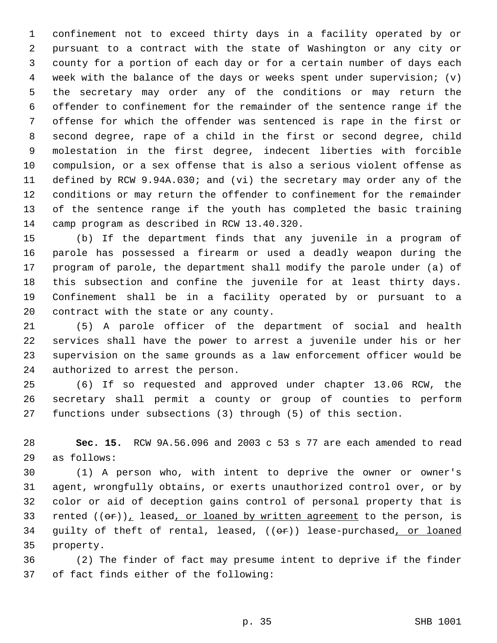confinement not to exceed thirty days in a facility operated by or pursuant to a contract with the state of Washington or any city or county for a portion of each day or for a certain number of days each week with the balance of the days or weeks spent under supervision; (v) the secretary may order any of the conditions or may return the offender to confinement for the remainder of the sentence range if the offense for which the offender was sentenced is rape in the first or second degree, rape of a child in the first or second degree, child molestation in the first degree, indecent liberties with forcible compulsion, or a sex offense that is also a serious violent offense as defined by RCW 9.94A.030; and (vi) the secretary may order any of the conditions or may return the offender to confinement for the remainder of the sentence range if the youth has completed the basic training camp program as described in RCW 13.40.320.

 (b) If the department finds that any juvenile in a program of parole has possessed a firearm or used a deadly weapon during the program of parole, the department shall modify the parole under (a) of this subsection and confine the juvenile for at least thirty days. Confinement shall be in a facility operated by or pursuant to a contract with the state or any county.

 (5) A parole officer of the department of social and health services shall have the power to arrest a juvenile under his or her supervision on the same grounds as a law enforcement officer would be authorized to arrest the person.

 (6) If so requested and approved under chapter 13.06 RCW, the secretary shall permit a county or group of counties to perform functions under subsections (3) through (5) of this section.

 **Sec. 15.** RCW 9A.56.096 and 2003 c 53 s 77 are each amended to read as follows:

 (1) A person who, with intent to deprive the owner or owner's agent, wrongfully obtains, or exerts unauthorized control over, or by color or aid of deception gains control of personal property that is 33 rented  $((\theta \cdot r)_L)$  leased, or loaned by written agreement to the person, is 34 guilty of theft of rental, leased, ((or)) lease-purchased, or loaned property.

 (2) The finder of fact may presume intent to deprive if the finder of fact finds either of the following: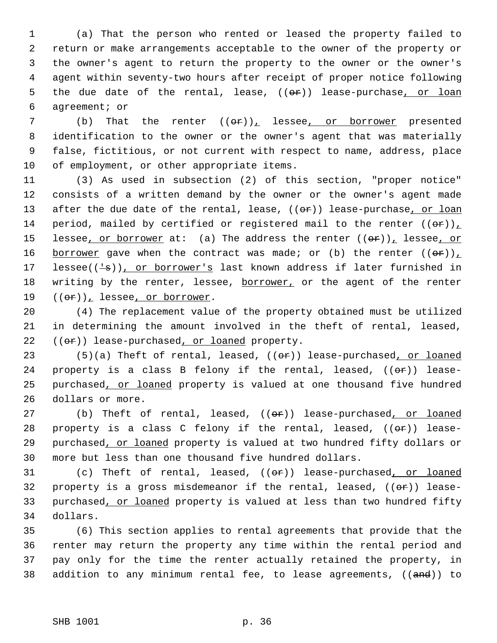(a) That the person who rented or leased the property failed to return or make arrangements acceptable to the owner of the property or the owner's agent to return the property to the owner or the owner's agent within seventy-two hours after receipt of proper notice following 5 the due date of the rental, lease,  $((\theta \cdot \hat{r}))$  lease-purchase, or loan agreement; or

7 (b) That the renter  $((\theta \cdot \mathbf{r}))_L$  lessee, or borrower presented identification to the owner or the owner's agent that was materially false, fictitious, or not current with respect to name, address, place of employment, or other appropriate items.

11 (3) As used in subsection (2) of this section, "proper notice" 12 consists of a written demand by the owner or the owner's agent made 13 after the due date of the rental, lease, ((or)) lease-purchase, or loan 14 period, mailed by certified or registered mail to the renter  $((\theta \cdot r))_+$ 15 lessee, or borrower at: (a) The address the renter  $((\theta F))_L$  lessee, or 16 borrower gave when the contract was made; or (b) the renter  $((\theta \cdot \mathbf{r}))_L$ 17 lessee( $(\frac{1}{s})$ ), or borrower's last known address if later furnished in 18 writing by the renter, lessee, borrower, or the agent of the renter 19  $((\theta \cdot \hat{r}))_T$  lessee, or borrower.

20 (4) The replacement value of the property obtained must be utilized 21 in determining the amount involved in the theft of rental, leased,  $22$  (( $\Theta$ ) lease-purchased, or loaned property.

23 (5)(a) Theft of rental, leased,  $((\theta \cdot \mathbf{r}))$  lease-purchased, or loaned 24 property is a class B felony if the rental, leased,  $((\theta \cdot \mathbf{r}))$  lease-25 purchased, or loaned property is valued at one thousand five hundred 26 dollars or more.

27 (b) Theft of rental, leased, ((or)) lease-purchased, or loaned 28 property is a class C felony if the rental, leased,  $((\theta \cdot \hat{r}))$  lease-29 purchased, or loaned property is valued at two hundred fifty dollars or 30 more but less than one thousand five hundred dollars.

31 (c) Theft of rental, leased, (( $\theta$ r)) lease-purchased, or loaned 32 property is a gross misdemeanor if the rental, leased,  $((\theta \cdot \mathbf{r}))$  lease-33 purchased, or loaned property is valued at less than two hundred fifty 34 dollars.

 (6) This section applies to rental agreements that provide that the renter may return the property any time within the rental period and pay only for the time the renter actually retained the property, in 38 addition to any minimum rental fee, to lease agreements, ((and)) to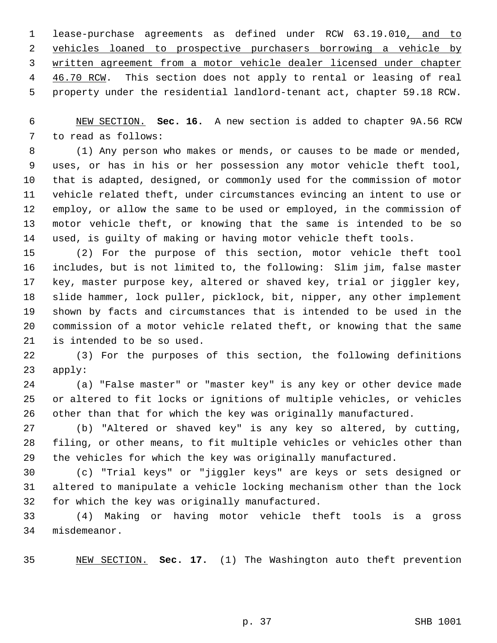lease-purchase agreements as defined under RCW 63.19.010, and to vehicles loaned to prospective purchasers borrowing a vehicle by written agreement from a motor vehicle dealer licensed under chapter 4 46.70 RCW. This section does not apply to rental or leasing of real property under the residential landlord-tenant act, chapter 59.18 RCW.

 NEW SECTION. **Sec. 16.** A new section is added to chapter 9A.56 RCW to read as follows:

 (1) Any person who makes or mends, or causes to be made or mended, uses, or has in his or her possession any motor vehicle theft tool, that is adapted, designed, or commonly used for the commission of motor vehicle related theft, under circumstances evincing an intent to use or employ, or allow the same to be used or employed, in the commission of motor vehicle theft, or knowing that the same is intended to be so used, is guilty of making or having motor vehicle theft tools.

 (2) For the purpose of this section, motor vehicle theft tool includes, but is not limited to, the following: Slim jim, false master key, master purpose key, altered or shaved key, trial or jiggler key, slide hammer, lock puller, picklock, bit, nipper, any other implement shown by facts and circumstances that is intended to be used in the commission of a motor vehicle related theft, or knowing that the same is intended to be so used.

 (3) For the purposes of this section, the following definitions apply:

 (a) "False master" or "master key" is any key or other device made or altered to fit locks or ignitions of multiple vehicles, or vehicles other than that for which the key was originally manufactured.

 (b) "Altered or shaved key" is any key so altered, by cutting, filing, or other means, to fit multiple vehicles or vehicles other than the vehicles for which the key was originally manufactured.

 (c) "Trial keys" or "jiggler keys" are keys or sets designed or altered to manipulate a vehicle locking mechanism other than the lock for which the key was originally manufactured.

 (4) Making or having motor vehicle theft tools is a gross misdemeanor.

NEW SECTION. **Sec. 17.** (1) The Washington auto theft prevention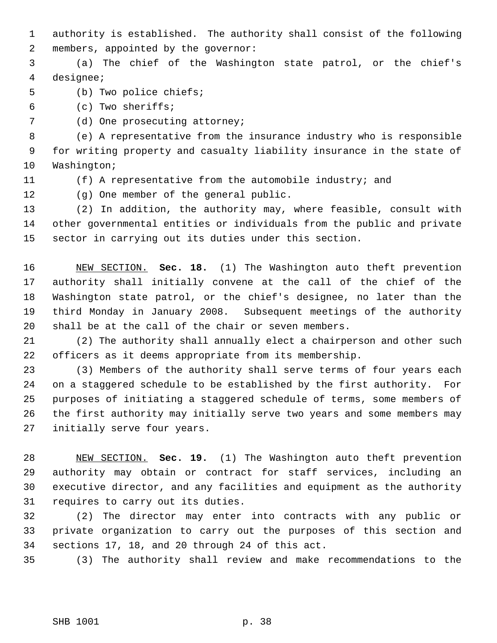authority is established. The authority shall consist of the following members, appointed by the governor:

 (a) The chief of the Washington state patrol, or the chief's designee;

(b) Two police chiefs;

(c) Two sheriffs;

7 (d) One prosecuting attorney;

 (e) A representative from the insurance industry who is responsible for writing property and casualty liability insurance in the state of Washington;

- 
- (f) A representative from the automobile industry; and

(g) One member of the general public.

 (2) In addition, the authority may, where feasible, consult with other governmental entities or individuals from the public and private sector in carrying out its duties under this section.

 NEW SECTION. **Sec. 18.** (1) The Washington auto theft prevention authority shall initially convene at the call of the chief of the Washington state patrol, or the chief's designee, no later than the third Monday in January 2008. Subsequent meetings of the authority shall be at the call of the chair or seven members.

 (2) The authority shall annually elect a chairperson and other such officers as it deems appropriate from its membership.

 (3) Members of the authority shall serve terms of four years each on a staggered schedule to be established by the first authority. For purposes of initiating a staggered schedule of terms, some members of the first authority may initially serve two years and some members may initially serve four years.

 NEW SECTION. **Sec. 19.** (1) The Washington auto theft prevention authority may obtain or contract for staff services, including an executive director, and any facilities and equipment as the authority requires to carry out its duties.

 (2) The director may enter into contracts with any public or private organization to carry out the purposes of this section and sections 17, 18, and 20 through 24 of this act.

(3) The authority shall review and make recommendations to the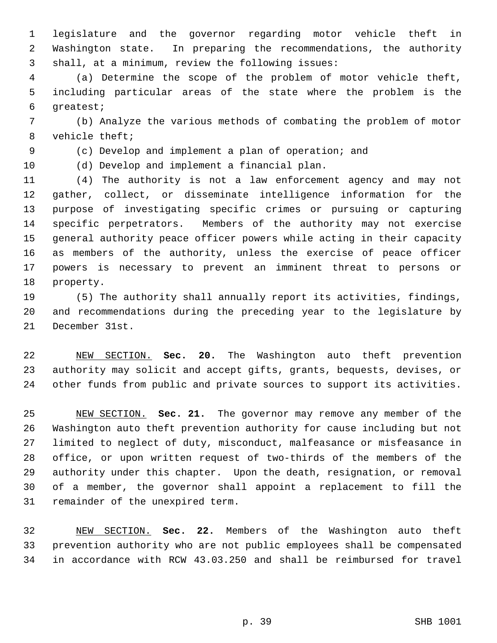legislature and the governor regarding motor vehicle theft in Washington state. In preparing the recommendations, the authority shall, at a minimum, review the following issues:

 (a) Determine the scope of the problem of motor vehicle theft, including particular areas of the state where the problem is the greatest;

 (b) Analyze the various methods of combating the problem of motor vehicle theft;

(c) Develop and implement a plan of operation; and

(d) Develop and implement a financial plan.

 (4) The authority is not a law enforcement agency and may not gather, collect, or disseminate intelligence information for the purpose of investigating specific crimes or pursuing or capturing specific perpetrators. Members of the authority may not exercise general authority peace officer powers while acting in their capacity as members of the authority, unless the exercise of peace officer powers is necessary to prevent an imminent threat to persons or property.

 (5) The authority shall annually report its activities, findings, and recommendations during the preceding year to the legislature by December 31st.

 NEW SECTION. **Sec. 20.** The Washington auto theft prevention authority may solicit and accept gifts, grants, bequests, devises, or other funds from public and private sources to support its activities.

 NEW SECTION. **Sec. 21.** The governor may remove any member of the Washington auto theft prevention authority for cause including but not limited to neglect of duty, misconduct, malfeasance or misfeasance in office, or upon written request of two-thirds of the members of the authority under this chapter. Upon the death, resignation, or removal of a member, the governor shall appoint a replacement to fill the remainder of the unexpired term.

 NEW SECTION. **Sec. 22.** Members of the Washington auto theft prevention authority who are not public employees shall be compensated in accordance with RCW 43.03.250 and shall be reimbursed for travel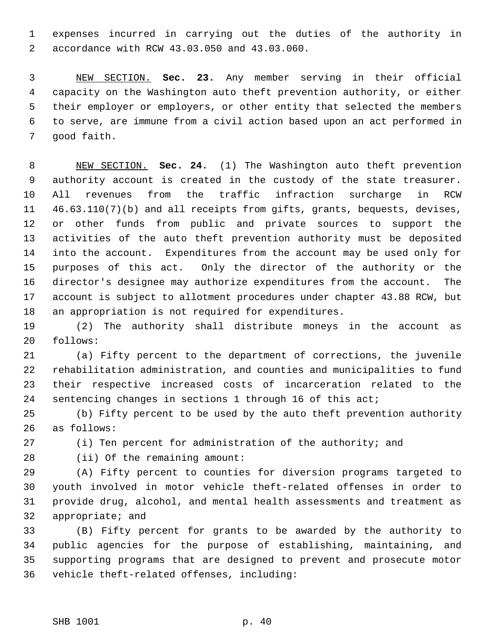expenses incurred in carrying out the duties of the authority in accordance with RCW 43.03.050 and 43.03.060.

 NEW SECTION. **Sec. 23.** Any member serving in their official capacity on the Washington auto theft prevention authority, or either their employer or employers, or other entity that selected the members to serve, are immune from a civil action based upon an act performed in good faith.

 NEW SECTION. **Sec. 24.** (1) The Washington auto theft prevention authority account is created in the custody of the state treasurer. All revenues from the traffic infraction surcharge in RCW 46.63.110(7)(b) and all receipts from gifts, grants, bequests, devises, or other funds from public and private sources to support the activities of the auto theft prevention authority must be deposited into the account. Expenditures from the account may be used only for purposes of this act. Only the director of the authority or the director's designee may authorize expenditures from the account. The account is subject to allotment procedures under chapter 43.88 RCW, but an appropriation is not required for expenditures.

 (2) The authority shall distribute moneys in the account as follows:

 (a) Fifty percent to the department of corrections, the juvenile rehabilitation administration, and counties and municipalities to fund their respective increased costs of incarceration related to the sentencing changes in sections 1 through 16 of this act;

 (b) Fifty percent to be used by the auto theft prevention authority as follows:

(i) Ten percent for administration of the authority; and

(ii) Of the remaining amount:

 (A) Fifty percent to counties for diversion programs targeted to youth involved in motor vehicle theft-related offenses in order to provide drug, alcohol, and mental health assessments and treatment as appropriate; and

 (B) Fifty percent for grants to be awarded by the authority to public agencies for the purpose of establishing, maintaining, and supporting programs that are designed to prevent and prosecute motor vehicle theft-related offenses, including: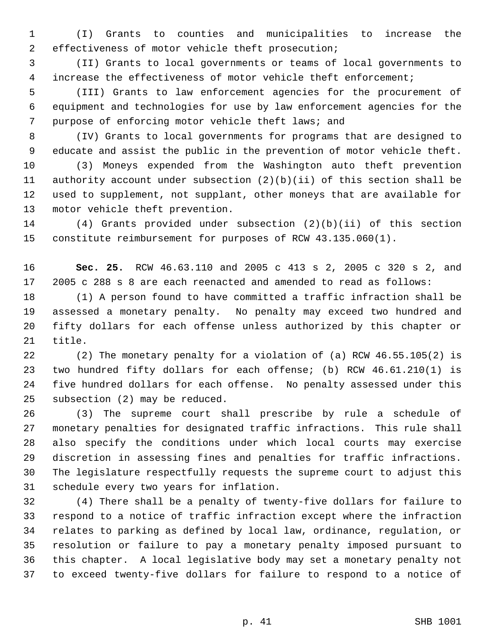(I) Grants to counties and municipalities to increase the effectiveness of motor vehicle theft prosecution;

 (II) Grants to local governments or teams of local governments to increase the effectiveness of motor vehicle theft enforcement;

 (III) Grants to law enforcement agencies for the procurement of equipment and technologies for use by law enforcement agencies for the purpose of enforcing motor vehicle theft laws; and

 (IV) Grants to local governments for programs that are designed to educate and assist the public in the prevention of motor vehicle theft.

 (3) Moneys expended from the Washington auto theft prevention authority account under subsection (2)(b)(ii) of this section shall be used to supplement, not supplant, other moneys that are available for motor vehicle theft prevention.

 (4) Grants provided under subsection (2)(b)(ii) of this section constitute reimbursement for purposes of RCW 43.135.060(1).

 **Sec. 25.** RCW 46.63.110 and 2005 c 413 s 2, 2005 c 320 s 2, and 2005 c 288 s 8 are each reenacted and amended to read as follows:

 (1) A person found to have committed a traffic infraction shall be assessed a monetary penalty. No penalty may exceed two hundred and fifty dollars for each offense unless authorized by this chapter or title.

 (2) The monetary penalty for a violation of (a) RCW 46.55.105(2) is two hundred fifty dollars for each offense; (b) RCW 46.61.210(1) is five hundred dollars for each offense. No penalty assessed under this subsection (2) may be reduced.

 (3) The supreme court shall prescribe by rule a schedule of monetary penalties for designated traffic infractions. This rule shall also specify the conditions under which local courts may exercise discretion in assessing fines and penalties for traffic infractions. The legislature respectfully requests the supreme court to adjust this schedule every two years for inflation.

 (4) There shall be a penalty of twenty-five dollars for failure to respond to a notice of traffic infraction except where the infraction relates to parking as defined by local law, ordinance, regulation, or resolution or failure to pay a monetary penalty imposed pursuant to this chapter. A local legislative body may set a monetary penalty not to exceed twenty-five dollars for failure to respond to a notice of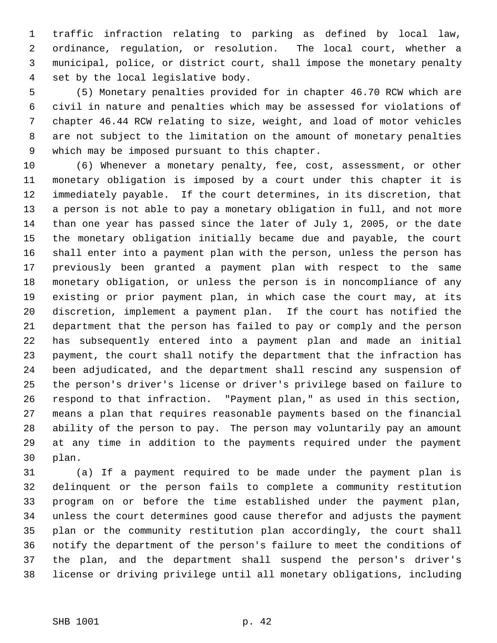traffic infraction relating to parking as defined by local law, ordinance, regulation, or resolution. The local court, whether a municipal, police, or district court, shall impose the monetary penalty set by the local legislative body.

 (5) Monetary penalties provided for in chapter 46.70 RCW which are civil in nature and penalties which may be assessed for violations of chapter 46.44 RCW relating to size, weight, and load of motor vehicles are not subject to the limitation on the amount of monetary penalties which may be imposed pursuant to this chapter.

 (6) Whenever a monetary penalty, fee, cost, assessment, or other monetary obligation is imposed by a court under this chapter it is immediately payable. If the court determines, in its discretion, that a person is not able to pay a monetary obligation in full, and not more than one year has passed since the later of July 1, 2005, or the date the monetary obligation initially became due and payable, the court shall enter into a payment plan with the person, unless the person has previously been granted a payment plan with respect to the same monetary obligation, or unless the person is in noncompliance of any existing or prior payment plan, in which case the court may, at its discretion, implement a payment plan. If the court has notified the department that the person has failed to pay or comply and the person has subsequently entered into a payment plan and made an initial payment, the court shall notify the department that the infraction has been adjudicated, and the department shall rescind any suspension of the person's driver's license or driver's privilege based on failure to respond to that infraction. "Payment plan," as used in this section, means a plan that requires reasonable payments based on the financial ability of the person to pay. The person may voluntarily pay an amount at any time in addition to the payments required under the payment plan.

 (a) If a payment required to be made under the payment plan is delinquent or the person fails to complete a community restitution program on or before the time established under the payment plan, unless the court determines good cause therefor and adjusts the payment plan or the community restitution plan accordingly, the court shall notify the department of the person's failure to meet the conditions of the plan, and the department shall suspend the person's driver's license or driving privilege until all monetary obligations, including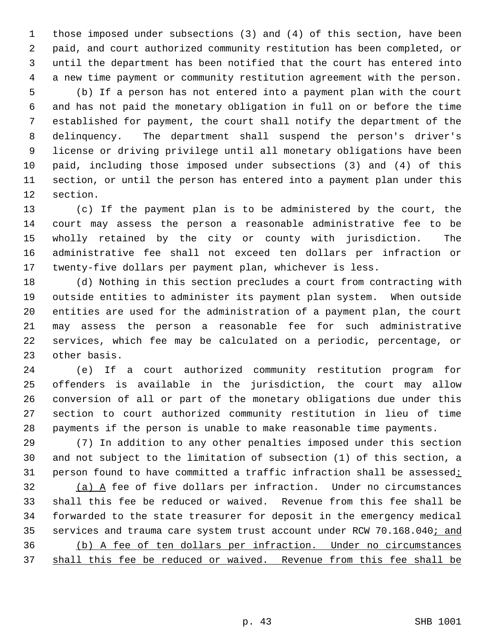those imposed under subsections (3) and (4) of this section, have been paid, and court authorized community restitution has been completed, or until the department has been notified that the court has entered into a new time payment or community restitution agreement with the person. (b) If a person has not entered into a payment plan with the court and has not paid the monetary obligation in full on or before the time established for payment, the court shall notify the department of the

 delinquency. The department shall suspend the person's driver's license or driving privilege until all monetary obligations have been paid, including those imposed under subsections (3) and (4) of this section, or until the person has entered into a payment plan under this section.

 (c) If the payment plan is to be administered by the court, the court may assess the person a reasonable administrative fee to be wholly retained by the city or county with jurisdiction. The administrative fee shall not exceed ten dollars per infraction or twenty-five dollars per payment plan, whichever is less.

 (d) Nothing in this section precludes a court from contracting with outside entities to administer its payment plan system. When outside entities are used for the administration of a payment plan, the court may assess the person a reasonable fee for such administrative services, which fee may be calculated on a periodic, percentage, or other basis.

 (e) If a court authorized community restitution program for offenders is available in the jurisdiction, the court may allow conversion of all or part of the monetary obligations due under this section to court authorized community restitution in lieu of time payments if the person is unable to make reasonable time payments.

 (7) In addition to any other penalties imposed under this section and not subject to the limitation of subsection (1) of this section, a 31 person found to have committed a traffic infraction shall be assessed:

 (a) A fee of five dollars per infraction. Under no circumstances shall this fee be reduced or waived. Revenue from this fee shall be forwarded to the state treasurer for deposit in the emergency medical 35 services and trauma care system trust account under RCW 70.168.040; and (b) A fee of ten dollars per infraction. Under no circumstances shall this fee be reduced or waived. Revenue from this fee shall be